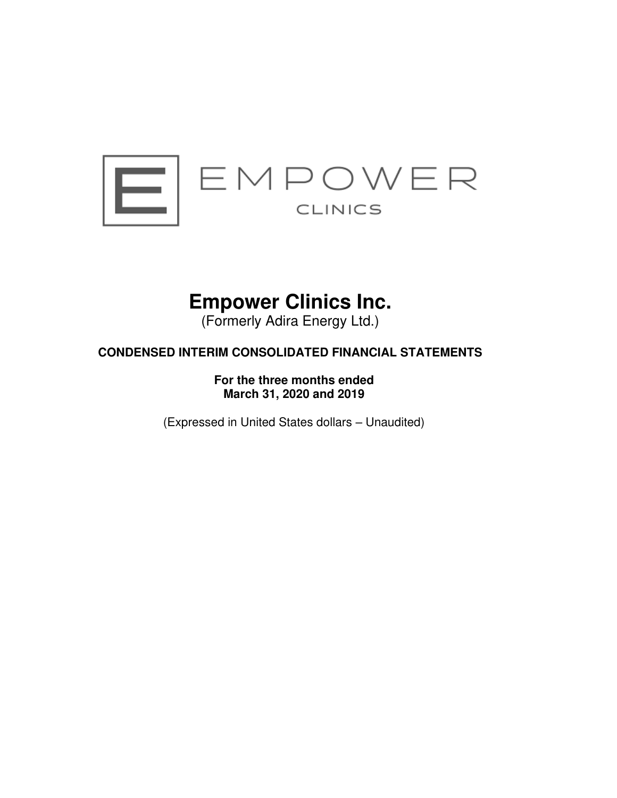

# **Empower Clinics Inc.**

(Formerly Adira Energy Ltd.)

## **CONDENSED INTERIM CONSOLIDATED FINANCIAL STATEMENTS**

**For the three months ended March 31, 2020 and 2019** 

(Expressed in United States dollars – Unaudited)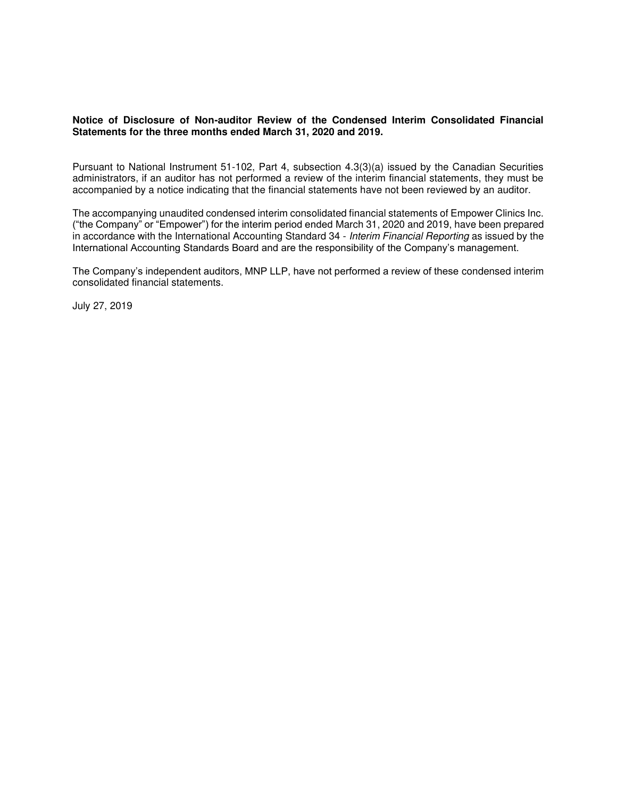## **Notice of Disclosure of Non-auditor Review of the Condensed Interim Consolidated Financial Statements for the three months ended March 31, 2020 and 2019.**

Pursuant to National Instrument 51-102, Part 4, subsection 4.3(3)(a) issued by the Canadian Securities administrators, if an auditor has not performed a review of the interim financial statements, they must be accompanied by a notice indicating that the financial statements have not been reviewed by an auditor.

The accompanying unaudited condensed interim consolidated financial statements of Empower Clinics Inc. ("the Company" or "Empower") for the interim period ended March 31, 2020 and 2019, have been prepared in accordance with the International Accounting Standard 34 - Interim Financial Reporting as issued by the International Accounting Standards Board and are the responsibility of the Company's management.

The Company's independent auditors, MNP LLP, have not performed a review of these condensed interim consolidated financial statements.

July 27, 2019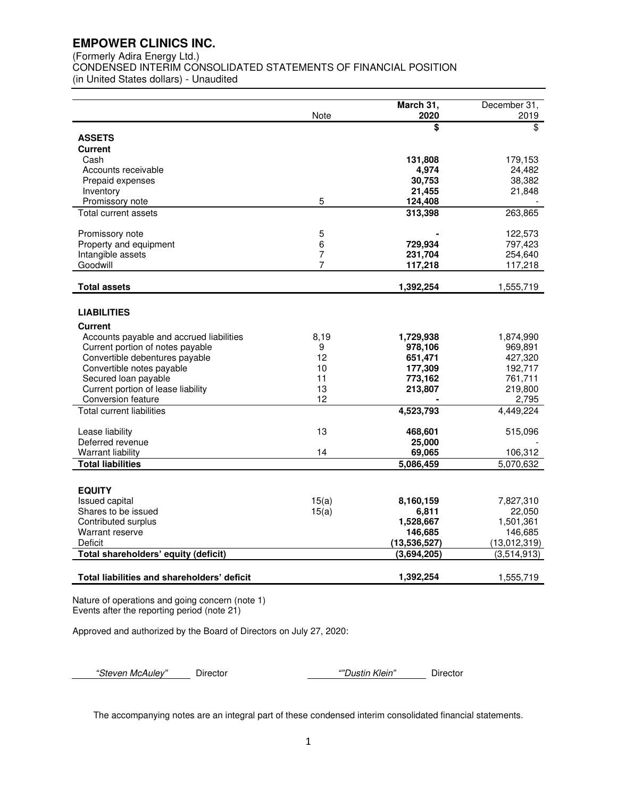(Formerly Adira Energy Ltd.)

CONDENSED INTERIM CONSOLIDATED STATEMENTS OF FINANCIAL POSITION (in United States dollars) - Unaudited

|                                             | March 31,<br>2020  | December 31, |
|---------------------------------------------|--------------------|--------------|
|                                             | Note<br>\$         | 2019<br>\$   |
| <b>ASSETS</b>                               |                    |              |
| <b>Current</b>                              |                    |              |
| Cash                                        | 131,808            | 179,153      |
| Accounts receivable                         | 4,974              | 24,482       |
| Prepaid expenses                            | 30,753             | 38,382       |
| Inventory                                   | 21,455             | 21,848       |
| Promissory note                             | 5<br>124,408       |              |
| Total current assets                        | 313,398            | 263,865      |
|                                             |                    |              |
| Promissory note                             | 5                  | 122,573      |
| Property and equipment                      | 6<br>729,934       | 797,423      |
| Intangible assets                           | 7<br>231,704       | 254,640      |
| Goodwill                                    | 7<br>117.218       | 117,218      |
|                                             |                    |              |
| <b>Total assets</b>                         | 1,392,254          | 1,555,719    |
|                                             |                    |              |
| <b>LIABILITIES</b>                          |                    |              |
| <b>Current</b>                              |                    |              |
| Accounts payable and accrued liabilities    | 8,19<br>1,729,938  | 1,874,990    |
| Current portion of notes payable            | 9<br>978,106       | 969,891      |
| Convertible debentures payable              | 12<br>651,471      | 427,320      |
| Convertible notes payable                   | 10<br>177,309      | 192,717      |
| Secured loan payable                        | 11<br>773,162      | 761,711      |
| Current portion of lease liability          | 13<br>213,807      | 219,800      |
| Conversion feature                          | 12                 | 2,795        |
| Total current liabilities                   | 4,523,793          | 4,449,224    |
| Lease liability                             | 13<br>468,601      | 515,096      |
| Deferred revenue                            | 25,000             |              |
| Warrant liability                           | 14<br>69,065       | 106,312      |
| <b>Total liabilities</b>                    | 5,086,459          | 5,070,632    |
|                                             |                    |              |
|                                             |                    |              |
| <b>EQUITY</b><br>Issued capital             | 15(a)<br>8,160,159 | 7,827,310    |
| Shares to be issued                         | 15(a)<br>6.811     | 22,050       |
| Contributed surplus                         | 1,528,667          | 1,501,361    |
| Warrant reserve                             | 146,685            | 146,685      |
| Deficit                                     | (13,536,527)       | (13,012,319) |
| Total shareholders' equity (deficit)        | (3,694,205)        | (3,514,913)  |
|                                             |                    |              |
| Total liabilities and shareholders' deficit | 1,392,254          | 1,555,719    |

Nature of operations and going concern (note 1) Events after the reporting period (note 21)

Approved and authorized by the Board of Directors on July 27, 2020:

*"*Steven McAuley*"* Director *""*Dustin Klein*"* Director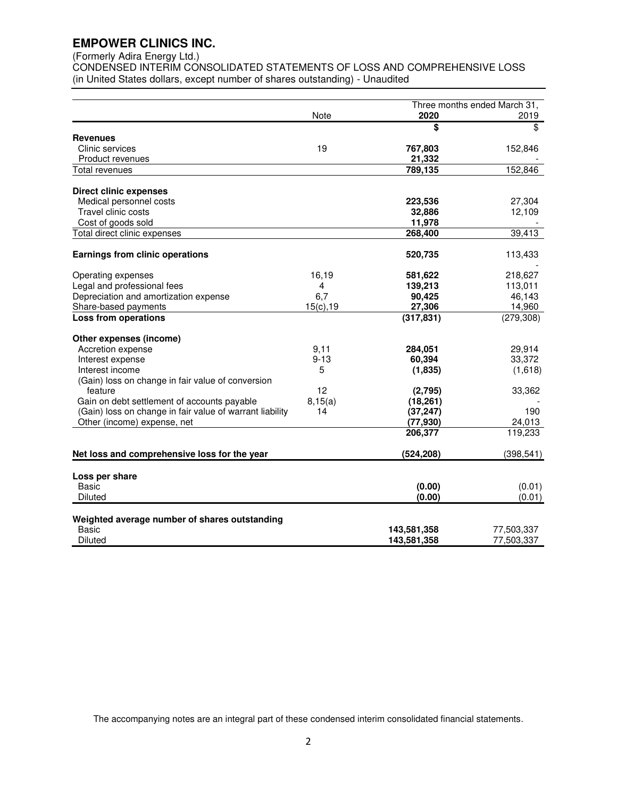## (Formerly Adira Energy Ltd.)

CONDENSED INTERIM CONSOLIDATED STATEMENTS OF LOSS AND COMPREHENSIVE LOSS (in United States dollars, except number of shares outstanding) - Unaudited

|                                                          |           |                            | Three months ended March 31, |
|----------------------------------------------------------|-----------|----------------------------|------------------------------|
|                                                          | Note      | 2020                       | 2019                         |
|                                                          |           | \$                         | \$                           |
| <b>Revenues</b>                                          |           |                            |                              |
| Clinic services                                          | 19        | 767,803                    | 152,846                      |
| Product revenues                                         |           | 21,332                     |                              |
| <b>Total revenues</b>                                    |           | 789,135                    | 152,846                      |
| <b>Direct clinic expenses</b>                            |           |                            |                              |
| Medical personnel costs                                  |           | 223,536                    | 27,304                       |
| Travel clinic costs                                      |           | 32,886                     | 12,109                       |
| Cost of goods sold                                       |           | 11,978                     |                              |
| Total direct clinic expenses                             |           | 268,400                    | 39,413                       |
|                                                          |           |                            |                              |
| <b>Earnings from clinic operations</b>                   |           | 520,735                    | 113,433                      |
| Operating expenses                                       | 16,19     | 581,622                    | 218,627                      |
| Legal and professional fees                              | 4         | 139,213                    | 113,011                      |
| Depreciation and amortization expense                    | 6,7       | 90,425                     | 46,143                       |
| Share-based payments                                     | 15(c), 19 | 27,306                     | 14,960                       |
| Loss from operations                                     |           | (317, 831)                 | (279, 308)                   |
| Other expenses (income)                                  |           |                            |                              |
| Accretion expense                                        | 9,11      | 284,051                    | 29,914                       |
| Interest expense                                         | $9 - 13$  | 60,394                     | 33,372                       |
| Interest income                                          | 5         | (1,835)                    | (1,618)                      |
| (Gain) loss on change in fair value of conversion        |           |                            |                              |
| feature                                                  | 12        | (2,795)                    | 33,362                       |
| Gain on debt settlement of accounts payable              | 8,15(a)   | (18, 261)                  |                              |
| (Gain) loss on change in fair value of warrant liability | 14        | (37, 247)                  | 190                          |
| Other (income) expense, net                              |           | (77, 930)                  | 24,013                       |
|                                                          |           | 206,377                    | 119,233                      |
|                                                          |           |                            |                              |
| Net loss and comprehensive loss for the year             |           | (524, 208)                 | (398, 541)                   |
| Loss per share                                           |           |                            |                              |
| <b>Basic</b>                                             |           | (0.00)                     | (0.01)                       |
| <b>Diluted</b>                                           |           | (0.00)                     | (0.01)                       |
|                                                          |           |                            |                              |
| Weighted average number of shares outstanding<br>Basic   |           |                            | 77,503,337                   |
| <b>Diluted</b>                                           |           | 143,581,358<br>143,581,358 | 77,503,337                   |
|                                                          |           |                            |                              |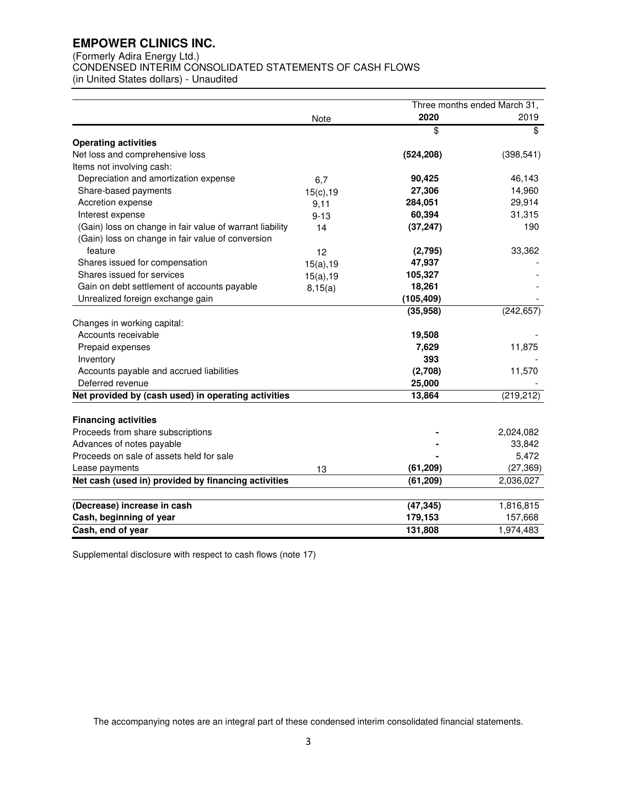(Formerly Adira Energy Ltd.)

CONDENSED INTERIM CONSOLIDATED STATEMENTS OF CASH FLOWS

(in United States dollars) - Unaudited

|                                                          |           |            | Three months ended March 31, |
|----------------------------------------------------------|-----------|------------|------------------------------|
|                                                          | Note      | 2020       | 2019                         |
|                                                          |           | \$         | \$                           |
| <b>Operating activities</b>                              |           |            |                              |
| Net loss and comprehensive loss                          |           | (524, 208) | (398, 541)                   |
| Items not involving cash:                                |           |            |                              |
| Depreciation and amortization expense                    | 6,7       | 90,425     | 46,143                       |
| Share-based payments                                     | 15(c), 19 | 27,306     | 14,960                       |
| Accretion expense                                        | 9,11      | 284,051    | 29,914                       |
| Interest expense                                         | $9 - 13$  | 60,394     | 31,315                       |
| (Gain) loss on change in fair value of warrant liability | 14        | (37, 247)  | 190                          |
| (Gain) loss on change in fair value of conversion        |           |            |                              |
| feature                                                  | 12        | (2,795)    | 33,362                       |
| Shares issued for compensation                           | 15(a), 19 | 47,937     |                              |
| Shares issued for services                               | 15(a), 19 | 105,327    |                              |
| Gain on debt settlement of accounts payable              | 8,15(a)   | 18,261     |                              |
| Unrealized foreign exchange gain                         |           | (105, 409) |                              |
|                                                          |           | (35, 958)  | (242, 657)                   |
| Changes in working capital:                              |           |            |                              |
| Accounts receivable                                      |           | 19,508     |                              |
| Prepaid expenses                                         |           | 7,629      | 11,875                       |
| Inventory                                                |           | 393        |                              |
| Accounts payable and accrued liabilities                 |           | (2,708)    | 11,570                       |
| Deferred revenue                                         |           | 25,000     |                              |
| Net provided by (cash used) in operating activities      |           | 13,864     | (219, 212)                   |
|                                                          |           |            |                              |
| <b>Financing activities</b>                              |           |            |                              |
| Proceeds from share subscriptions                        |           |            | 2,024,082                    |
| Advances of notes payable                                |           |            | 33,842                       |
| Proceeds on sale of assets held for sale                 |           |            | 5,472                        |
| Lease payments                                           | 13        | (61, 209)  | (27, 369)                    |
| Net cash (used in) provided by financing activities      |           | (61, 209)  | 2,036,027                    |
| (Decrease) increase in cash                              |           | (47, 345)  | 1,816,815                    |
| Cash, beginning of year                                  |           | 179,153    | 157,668                      |
| Cash, end of year                                        |           | 131,808    | 1,974,483                    |

Supplemental disclosure with respect to cash flows (note 17)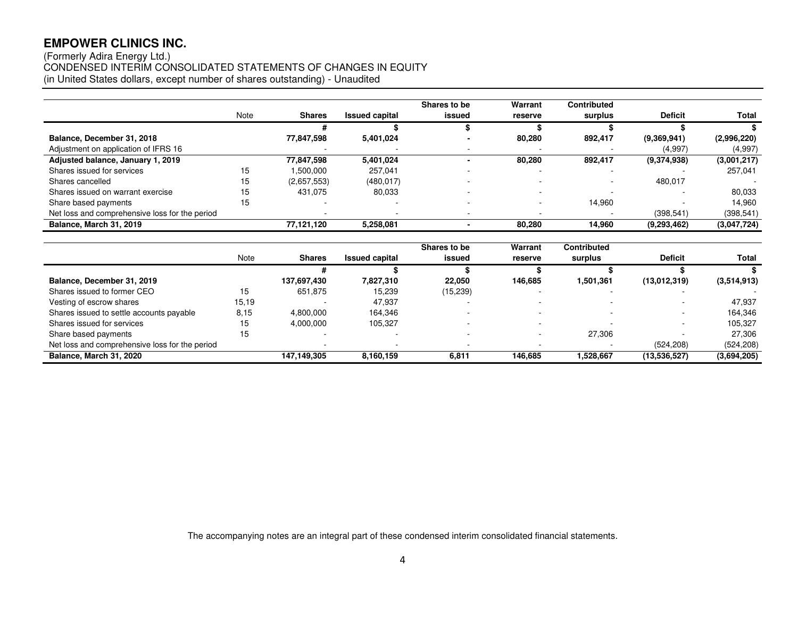## (Formerly Adira Energy Ltd.) CONDENSED INTERIM CONSOLIDATED STATEMENTS OF CHANGES IN EQUITY (in United States dollars, except number of shares outstanding) - Unaudited

|                                                |      |               |                       | Shares to be             | Warrant | <b>Contributed</b> |                |             |
|------------------------------------------------|------|---------------|-----------------------|--------------------------|---------|--------------------|----------------|-------------|
|                                                | Note | <b>Shares</b> | <b>Issued capital</b> | issued                   | reserve | surplus            | <b>Deficit</b> | Total       |
|                                                |      |               |                       |                          |         |                    |                |             |
| Balance, December 31, 2018                     |      | 77,847,598    | 5,401,024             |                          | 80,280  | 892,417            | (9,369,941)    | (2,996,220) |
| Adjustment on application of IFRS 16           |      |               |                       |                          |         |                    | (4.997)        | (4,997)     |
| Adjusted balance, January 1, 2019              |      | 77,847,598    | 5.401.024             |                          | 80,280  | 892.417            | (9,374,938)    | (3,001,217) |
| Shares issued for services                     | 15   | .500,000      | 257,041               |                          |         |                    |                | 257.041     |
| Shares cancelled                               | 15   | (2,657,553)   | (480, 017)            |                          |         |                    | 480,017        |             |
| Shares issued on warrant exercise              | 15   | 431.075       | 80,033                |                          |         |                    |                | 80,033      |
| Share based payments                           | 15   |               |                       |                          |         | 14.960             |                | 14.960      |
| Net loss and comprehensive loss for the period |      |               |                       | $\overline{\phantom{a}}$ |         |                    | (398, 541)     | (398, 541)  |
| Balance, March 31, 2019                        |      | 77,121,120    | 5.258.081             |                          | 80.280  | 14.960             | (9,293,462)    | (3,047,724) |

|                                                |       |               |                       | Shares to be | Warrant | Contributed |                |             |
|------------------------------------------------|-------|---------------|-----------------------|--------------|---------|-------------|----------------|-------------|
|                                                | Note  | <b>Shares</b> | <b>Issued capital</b> | issued       | reserve | surplus     | <b>Deficit</b> | Total       |
|                                                |       |               |                       |              |         |             |                |             |
| Balance, December 31, 2019                     |       | 137,697,430   | 7,827,310             | 22.050       | 146.685 | 1,501,361   | (13,012,319)   | (3,514,913) |
| Shares issued to former CEO                    | 15    | 651.875       | 15.239                | (15, 239)    |         |             |                |             |
| Vesting of escrow shares                       | 15,19 |               | 47.937                |              |         |             |                | 47.937      |
| Shares issued to settle accounts payable       | 8,15  | 4,800,000     | 164.346               |              |         |             |                | 164.346     |
| Shares issued for services                     | 15    | 4.000.000     | 105,327               |              |         |             |                | 105.327     |
| Share based payments                           | 15    |               |                       |              |         | 27.306      |                | 27.306      |
| Net loss and comprehensive loss for the period |       |               |                       |              |         |             | (524, 208)     | (524, 208)  |
| Balance, March 31, 2020                        |       | 147.149.305   | 8.160.159             | 6,811        | 146.685 | 1.528.667   | (13,536,527)   | (3,694,205) |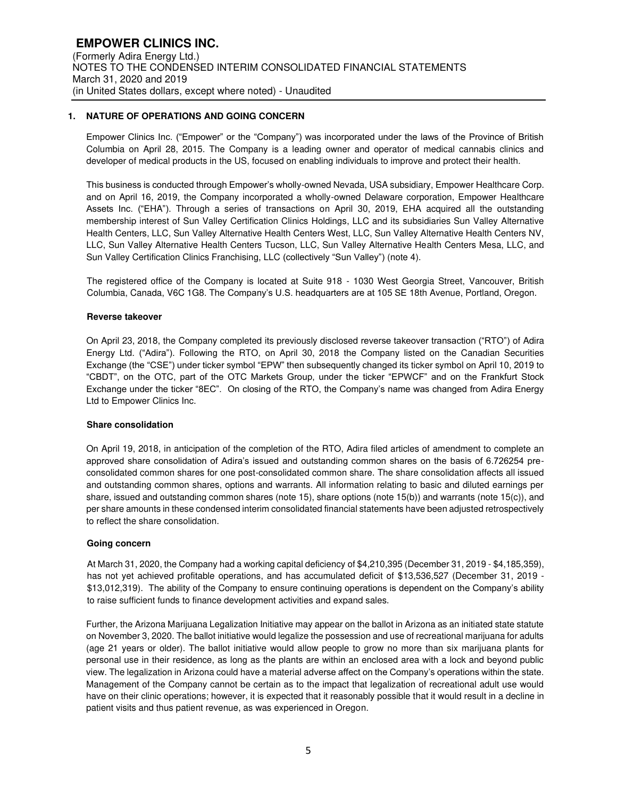## **1. NATURE OF OPERATIONS AND GOING CONCERN**

Empower Clinics Inc. ("Empower" or the "Company") was incorporated under the laws of the Province of British Columbia on April 28, 2015. The Company is a leading owner and operator of medical cannabis clinics and developer of medical products in the US, focused on enabling individuals to improve and protect their health.

This business is conducted through Empower's wholly-owned Nevada, USA subsidiary, Empower Healthcare Corp. and on April 16, 2019, the Company incorporated a wholly-owned Delaware corporation, Empower Healthcare Assets Inc. ("EHA"). Through a series of transactions on April 30, 2019, EHA acquired all the outstanding membership interest of Sun Valley Certification Clinics Holdings, LLC and its subsidiaries Sun Valley Alternative Health Centers, LLC, Sun Valley Alternative Health Centers West, LLC, Sun Valley Alternative Health Centers NV, LLC, Sun Valley Alternative Health Centers Tucson, LLC, Sun Valley Alternative Health Centers Mesa, LLC, and Sun Valley Certification Clinics Franchising, LLC (collectively "Sun Valley") (note 4).

The registered office of the Company is located at Suite 918 - 1030 West Georgia Street, Vancouver, British Columbia, Canada, V6C 1G8. The Company's U.S. headquarters are at 105 SE 18th Avenue, Portland, Oregon.

#### **Reverse takeover**

On April 23, 2018, the Company completed its previously disclosed reverse takeover transaction ("RTO") of Adira Energy Ltd. ("Adira"). Following the RTO, on April 30, 2018 the Company listed on the Canadian Securities Exchange (the "CSE") under ticker symbol "EPW" then subsequently changed its ticker symbol on April 10, 2019 to "CBDT", on the OTC, part of the OTC Markets Group, under the ticker "EPWCF" and on the Frankfurt Stock Exchange under the ticker "8EC". On closing of the RTO, the Company's name was changed from Adira Energy Ltd to Empower Clinics Inc.

#### **Share consolidation**

On April 19, 2018, in anticipation of the completion of the RTO, Adira filed articles of amendment to complete an approved share consolidation of Adira's issued and outstanding common shares on the basis of 6.726254 preconsolidated common shares for one post-consolidated common share. The share consolidation affects all issued and outstanding common shares, options and warrants. All information relating to basic and diluted earnings per share, issued and outstanding common shares (note 15), share options (note 15(b)) and warrants (note 15(c)), and per share amounts in these condensed interim consolidated financial statements have been adjusted retrospectively to reflect the share consolidation.

#### **Going concern**

At March 31, 2020, the Company had a working capital deficiency of \$4,210,395 (December 31, 2019 - \$4,185,359), has not yet achieved profitable operations, and has accumulated deficit of \$13,536,527 (December 31, 2019 - \$13,012,319). The ability of the Company to ensure continuing operations is dependent on the Company's ability to raise sufficient funds to finance development activities and expand sales.

Further, the Arizona Marijuana Legalization Initiative may appear on the ballot in Arizona as an initiated state statute on November 3, 2020. The ballot initiative would legalize the possession and use of recreational marijuana for adults (age 21 years or older). The ballot initiative would allow people to grow no more than six marijuana plants for personal use in their residence, as long as the plants are within an enclosed area with a lock and beyond public view. The legalization in Arizona could have a material adverse affect on the Company's operations within the state. Management of the Company cannot be certain as to the impact that legalization of recreational adult use would have on their clinic operations; however, it is expected that it reasonably possible that it would result in a decline in patient visits and thus patient revenue, as was experienced in Oregon.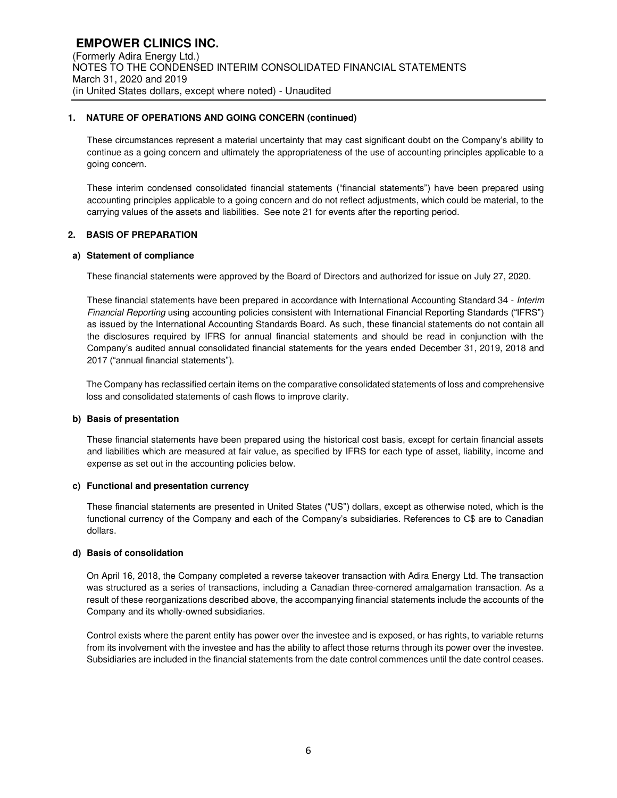## **1. NATURE OF OPERATIONS AND GOING CONCERN (continued)**

These circumstances represent a material uncertainty that may cast significant doubt on the Company's ability to continue as a going concern and ultimately the appropriateness of the use of accounting principles applicable to a going concern.

These interim condensed consolidated financial statements ("financial statements") have been prepared using accounting principles applicable to a going concern and do not reflect adjustments, which could be material, to the carrying values of the assets and liabilities. See note 21 for events after the reporting period.

## **2. BASIS OF PREPARATION**

## **a) Statement of compliance**

These financial statements were approved by the Board of Directors and authorized for issue on July 27, 2020.

These financial statements have been prepared in accordance with International Accounting Standard 34 - Interim Financial Reporting using accounting policies consistent with International Financial Reporting Standards ("IFRS") as issued by the International Accounting Standards Board. As such, these financial statements do not contain all the disclosures required by IFRS for annual financial statements and should be read in conjunction with the Company's audited annual consolidated financial statements for the years ended December 31, 2019, 2018 and 2017 ("annual financial statements").

The Company has reclassified certain items on the comparative consolidated statements of loss and comprehensive loss and consolidated statements of cash flows to improve clarity.

## **b) Basis of presentation**

These financial statements have been prepared using the historical cost basis, except for certain financial assets and liabilities which are measured at fair value, as specified by IFRS for each type of asset, liability, income and expense as set out in the accounting policies below.

#### **c) Functional and presentation currency**

These financial statements are presented in United States ("US") dollars, except as otherwise noted, which is the functional currency of the Company and each of the Company's subsidiaries. References to C\$ are to Canadian dollars.

#### **d) Basis of consolidation**

On April 16, 2018, the Company completed a reverse takeover transaction with Adira Energy Ltd. The transaction was structured as a series of transactions, including a Canadian three-cornered amalgamation transaction. As a result of these reorganizations described above, the accompanying financial statements include the accounts of the Company and its wholly-owned subsidiaries.

Control exists where the parent entity has power over the investee and is exposed, or has rights, to variable returns from its involvement with the investee and has the ability to affect those returns through its power over the investee. Subsidiaries are included in the financial statements from the date control commences until the date control ceases.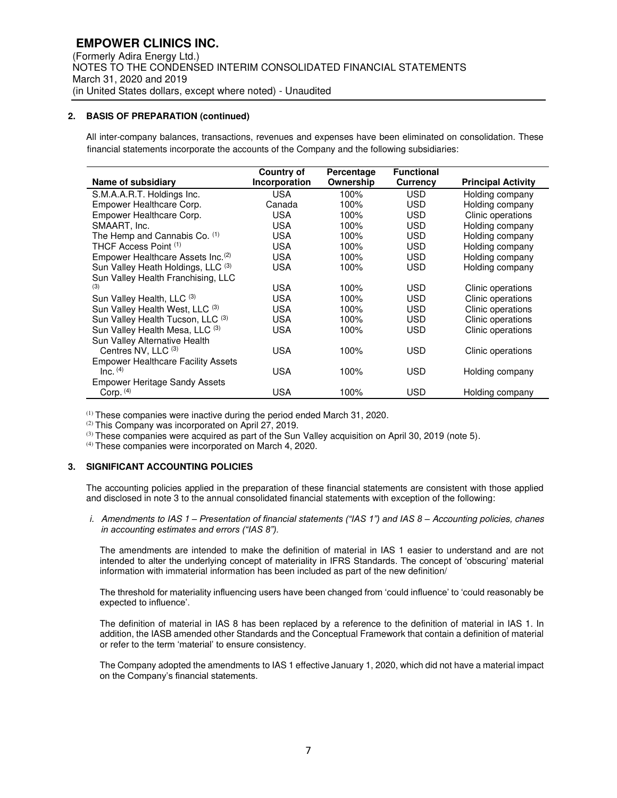## **2. BASIS OF PREPARATION (continued)**

 All inter-company balances, transactions, revenues and expenses have been eliminated on consolidation. These financial statements incorporate the accounts of the Company and the following subsidiaries:

|                                               | Country of    | Percentage | <b>Functional</b> |                           |
|-----------------------------------------------|---------------|------------|-------------------|---------------------------|
| Name of subsidiary                            | Incorporation | Ownership  | <b>Currency</b>   | <b>Principal Activity</b> |
| S.M.A.A.R.T. Holdings Inc.                    | <b>USA</b>    | 100%       | <b>USD</b>        | Holding company           |
| Empower Healthcare Corp.                      | Canada        | 100%       | <b>USD</b>        | Holding company           |
| Empower Healthcare Corp.                      | <b>USA</b>    | 100%       | <b>USD</b>        | Clinic operations         |
| SMAART, Inc.                                  | <b>USA</b>    | 100%       | <b>USD</b>        | Holding company           |
| The Hemp and Cannabis Co. (1)                 | <b>USA</b>    | 100%       | <b>USD</b>        | Holding company           |
| THCF Access Point (1)                         | <b>USA</b>    | 100%       | <b>USD</b>        | Holding company           |
| Empower Healthcare Assets Inc. <sup>(2)</sup> | <b>USA</b>    | 100%       | <b>USD</b>        | Holding company           |
| Sun Valley Heath Holdings, LLC (3)            | <b>USA</b>    | 100%       | <b>USD</b>        | Holding company           |
| Sun Valley Health Franchising, LLC            |               |            |                   |                           |
| (3)                                           | <b>USA</b>    | 100%       | <b>USD</b>        | Clinic operations         |
| Sun Valley Health, LLC (3)                    | <b>USA</b>    | 100%       | <b>USD</b>        | Clinic operations         |
| Sun Valley Health West, LLC (3)               | <b>USA</b>    | 100%       | <b>USD</b>        | Clinic operations         |
| Sun Valley Health Tucson, LLC (3)             | <b>USA</b>    | 100%       | <b>USD</b>        | Clinic operations         |
| Sun Valley Health Mesa, LLC (3)               | <b>USA</b>    | 100%       | <b>USD</b>        | Clinic operations         |
| Sun Valley Alternative Health                 |               |            |                   |                           |
| Centres NV, LLC (3)                           | <b>USA</b>    | 100%       | <b>USD</b>        | Clinic operations         |
| <b>Empower Healthcare Facility Assets</b>     |               |            |                   |                           |
| $Inc.$ $(4)$                                  | <b>USA</b>    | 100%       | <b>USD</b>        | Holding company           |
| <b>Empower Heritage Sandy Assets</b>          |               |            |                   |                           |
| Corp. $(4)$                                   | <b>USA</b>    | 100%       | <b>USD</b>        | Holding company           |

(1) These companies were inactive during the period ended March 31, 2020.

(2) This Company was incorporated on April 27, 2019.

 $(3)$  These companies were acquired as part of the Sun Valley acquisition on April 30, 2019 (note 5).

(4) These companies were incorporated on March 4, 2020.

## **3. SIGNIFICANT ACCOUNTING POLICIES**

The accounting policies applied in the preparation of these financial statements are consistent with those applied and disclosed in note 3 to the annual consolidated financial statements with exception of the following:

i. Amendments to IAS 1 *– Presentation of financial statements ("IAS 1") and IAS 8 –* Accounting policies, chanes *in accounting estimates and errors ("IAS 8").*

The amendments are intended to make the definition of material in IAS 1 easier to understand and are not intended to alter the underlying concept of materiality in IFRS Standards. The concept of 'obscuring' material information with immaterial information has been included as part of the new definition/

The threshold for materiality influencing users have been changed from 'could influence' to 'could reasonably be expected to influence'.

The definition of material in IAS 8 has been replaced by a reference to the definition of material in IAS 1. In addition, the IASB amended other Standards and the Conceptual Framework that contain a definition of material or refer to the term 'material' to ensure consistency.

The Company adopted the amendments to IAS 1 effective January 1, 2020, which did not have a material impact on the Company's financial statements.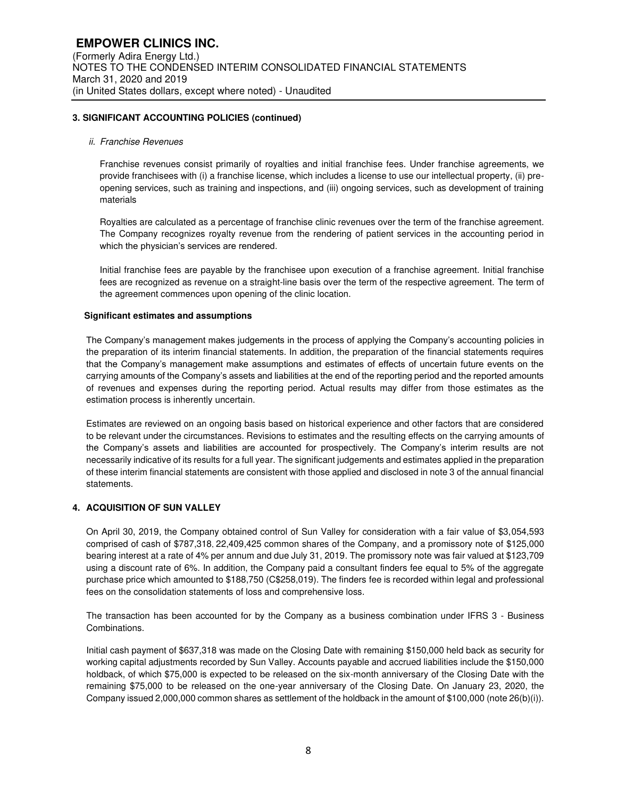## **3. SIGNIFICANT ACCOUNTING POLICIES (continued)**

#### ii. Franchise Revenues

Franchise revenues consist primarily of royalties and initial franchise fees. Under franchise agreements, we provide franchisees with (i) a franchise license, which includes a license to use our intellectual property, (ii) preopening services, such as training and inspections, and (iii) ongoing services, such as development of training materials

Royalties are calculated as a percentage of franchise clinic revenues over the term of the franchise agreement. The Company recognizes royalty revenue from the rendering of patient services in the accounting period in which the physician's services are rendered.

Initial franchise fees are payable by the franchisee upon execution of a franchise agreement. Initial franchise fees are recognized as revenue on a straight-line basis over the term of the respective agreement. The term of the agreement commences upon opening of the clinic location.

#### **Significant estimates and assumptions**

The Company's management makes judgements in the process of applying the Company's accounting policies in the preparation of its interim financial statements. In addition, the preparation of the financial statements requires that the Company's management make assumptions and estimates of effects of uncertain future events on the carrying amounts of the Company's assets and liabilities at the end of the reporting period and the reported amounts of revenues and expenses during the reporting period. Actual results may differ from those estimates as the estimation process is inherently uncertain.

Estimates are reviewed on an ongoing basis based on historical experience and other factors that are considered to be relevant under the circumstances. Revisions to estimates and the resulting effects on the carrying amounts of the Company's assets and liabilities are accounted for prospectively. The Company's interim results are not necessarily indicative of its results for a full year. The significant judgements and estimates applied in the preparation of these interim financial statements are consistent with those applied and disclosed in note 3 of the annual financial statements.

#### **4. ACQUISITION OF SUN VALLEY**

On April 30, 2019, the Company obtained control of Sun Valley for consideration with a fair value of \$3,054,593 comprised of cash of \$787,318, 22,409,425 common shares of the Company, and a promissory note of \$125,000 bearing interest at a rate of 4% per annum and due July 31, 2019. The promissory note was fair valued at \$123,709 using a discount rate of 6%. In addition, the Company paid a consultant finders fee equal to 5% of the aggregate purchase price which amounted to \$188,750 (C\$258,019). The finders fee is recorded within legal and professional fees on the consolidation statements of loss and comprehensive loss.

The transaction has been accounted for by the Company as a business combination under IFRS 3 - Business Combinations.

Initial cash payment of \$637,318 was made on the Closing Date with remaining \$150,000 held back as security for working capital adjustments recorded by Sun Valley. Accounts payable and accrued liabilities include the \$150,000 holdback, of which \$75,000 is expected to be released on the six-month anniversary of the Closing Date with the remaining \$75,000 to be released on the one-year anniversary of the Closing Date. On January 23, 2020, the Company issued 2,000,000 common shares as settlement of the holdback in the amount of \$100,000 (note 26(b)(i)).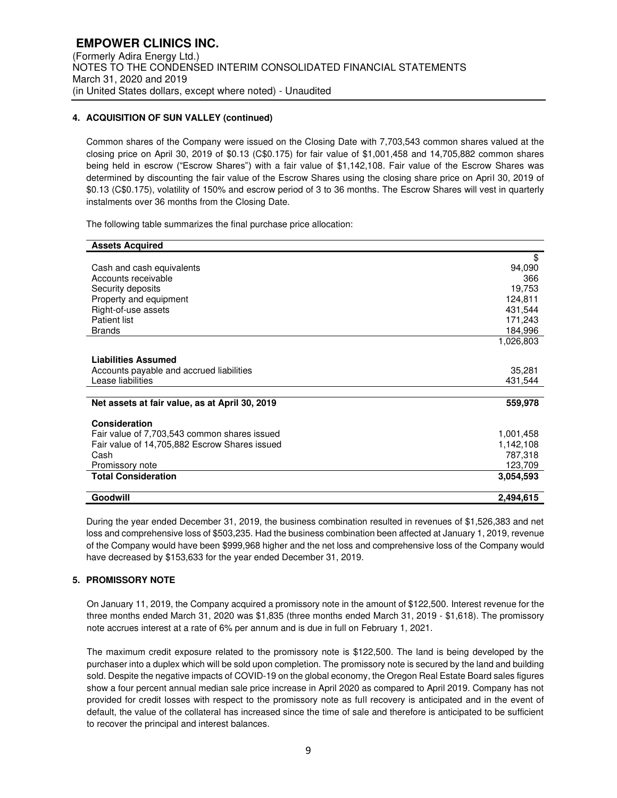## **4. ACQUISITION OF SUN VALLEY (continued)**

Common shares of the Company were issued on the Closing Date with 7,703,543 common shares valued at the closing price on April 30, 2019 of \$0.13 (C\$0.175) for fair value of \$1,001,458 and 14,705,882 common shares being held in escrow ("Escrow Shares") with a fair value of \$1,142,108. Fair value of the Escrow Shares was determined by discounting the fair value of the Escrow Shares using the closing share price on April 30, 2019 of \$0.13 (C\$0.175), volatility of 150% and escrow period of 3 to 36 months. The Escrow Shares will vest in quarterly instalments over 36 months from the Closing Date.

The following table summarizes the final purchase price allocation:

| <b>Assets Acquired</b>                         |           |
|------------------------------------------------|-----------|
|                                                | \$        |
| Cash and cash equivalents                      | 94,090    |
| Accounts receivable                            | 366       |
| Security deposits                              | 19,753    |
| Property and equipment                         | 124,811   |
| Right-of-use assets                            | 431,544   |
| <b>Patient list</b>                            | 171,243   |
| <b>Brands</b>                                  | 184,996   |
|                                                | 1,026,803 |
| <b>Liabilities Assumed</b>                     |           |
| Accounts payable and accrued liabilities       | 35,281    |
| Lease liabilities                              | 431,544   |
|                                                |           |
| Net assets at fair value, as at April 30, 2019 | 559,978   |
| Consideration                                  |           |
| Fair value of 7,703,543 common shares issued   | 1,001,458 |
| Fair value of 14,705,882 Escrow Shares issued  | 1,142,108 |
| Cash                                           | 787,318   |
| Promissory note                                | 123,709   |
| <b>Total Consideration</b>                     | 3.054,593 |
| Goodwill                                       | 2,494,615 |

During the year ended December 31, 2019, the business combination resulted in revenues of \$1,526,383 and net loss and comprehensive loss of \$503,235. Had the business combination been affected at January 1, 2019, revenue of the Company would have been \$999,968 higher and the net loss and comprehensive loss of the Company would have decreased by \$153,633 for the year ended December 31, 2019.

## **5. PROMISSORY NOTE**

On January 11, 2019, the Company acquired a promissory note in the amount of \$122,500. Interest revenue for the three months ended March 31, 2020 was \$1,835 (three months ended March 31, 2019 - \$1,618). The promissory note accrues interest at a rate of 6% per annum and is due in full on February 1, 2021.

The maximum credit exposure related to the promissory note is \$122,500. The land is being developed by the purchaser into a duplex which will be sold upon completion. The promissory note is secured by the land and building sold. Despite the negative impacts of COVID-19 on the global economy, the Oregon Real Estate Board sales figures show a four percent annual median sale price increase in April 2020 as compared to April 2019. Company has not provided for credit losses with respect to the promissory note as full recovery is anticipated and in the event of default, the value of the collateral has increased since the time of sale and therefore is anticipated to be sufficient to recover the principal and interest balances.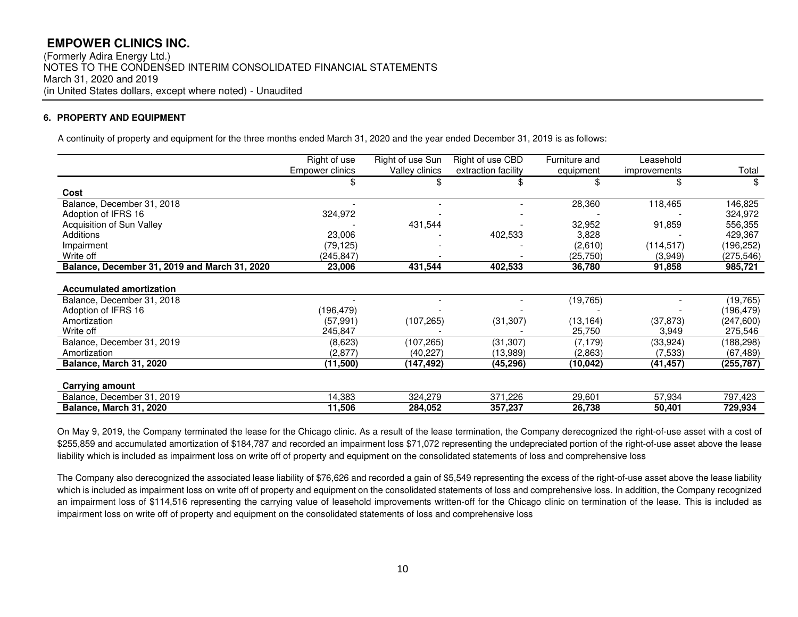(Formerly Adira Energy Ltd.) NOTES TO THE CONDENSED INTERIM CONSOLIDATED FINANCIAL STATEMENTS March 31, 2020 and 2019 (in United States dollars, except where noted) - Unaudited

## **6. PROPERTY AND EQUIPMENT**

A continuity of property and equipment for the three months ended March 31, 2020 and the year ended December 31, 2019 is as follows:

|                                               | Right of use    | Right of use Sun | Right of use CBD    | Furniture and | Leasehold    |            |
|-----------------------------------------------|-----------------|------------------|---------------------|---------------|--------------|------------|
|                                               | Empower clinics | Valley clinics   | extraction facility | equipment     | improvements | Total      |
|                                               |                 | \$               |                     |               |              | \$         |
| Cost                                          |                 |                  |                     |               |              |            |
| Balance, December 31, 2018                    |                 |                  |                     | 28,360        | 118,465      | 146,825    |
| Adoption of IFRS 16                           | 324,972         |                  |                     |               |              | 324,972    |
| Acquisition of Sun Valley                     |                 | 431,544          |                     | 32,952        | 91,859       | 556,355    |
| <b>Additions</b>                              | 23,006          |                  | 402,533             | 3,828         |              | 429,367    |
| Impairment                                    | (79,125)        |                  |                     | (2,610)       | (114, 517)   | (196,252)  |
| Write off                                     | (245,847)       |                  |                     | (25, 750)     | (3,949)      | (275,546)  |
| Balance, December 31, 2019 and March 31, 2020 | 23.006          | 431,544          | 402,533             | 36,780        | 91,858       | 985,721    |
|                                               |                 |                  |                     |               |              |            |
| <b>Accumulated amortization</b>               |                 |                  |                     |               |              |            |
| Balance, December 31, 2018                    |                 |                  |                     | (19, 765)     |              | (19, 765)  |
| Adoption of IFRS 16                           | (196,479)       |                  |                     |               |              | (196,479)  |
| Amortization                                  | (57, 991)       | (107, 265)       | (31, 307)           | (13, 164)     | (37, 873)    | (247,600)  |
| Write off                                     | 245,847         |                  |                     | 25,750        | 3,949        | 275,546    |
| Balance, December 31, 2019                    | (8,623)         | (107,265)        | (31, 307)           | (7, 179)      | (33, 924)    | (188, 298) |
| Amortization                                  | (2, 877)        | (40, 227)        | (13,989)            | (2,863)       | (7, 533)     | (67, 489)  |
| Balance, March 31, 2020                       | (11,500)        | (147,492)        | (45,296)            | (10,042)      | (41, 457)    | (255, 787) |
|                                               |                 |                  |                     |               |              |            |
| Carrying amount                               |                 |                  |                     |               |              |            |
| Balance, December 31, 2019                    | 14,383          | 324,279          | 371,226             | 29,601        | 57,934       | 797,423    |
| Balance, March 31, 2020                       | 11,506          | 284,052          | 357,237             | 26,738        | 50,401       | 729,934    |

On May 9, 2019, the Company terminated the lease for the Chicago clinic. As a result of the lease termination, the Company derecognized the right-of-use asset with a cost of \$255,859 and accumulated amortization of \$184,787 and recorded an impairment loss \$71,072 representing the undepreciated portion of the right-of-use asset above the lease liability which is included as impairment loss on write off of property and equipment on the consolidated statements of loss and comprehensive loss

The Company also derecognized the associated lease liability of \$76,626 and recorded a gain of \$5,549 representing the excess of the right-of-use asset above the lease liability which is included as impairment loss on write off of property and equipment on the consolidated statements of loss and comprehensive loss. In addition, the Company recognized an impairment loss of \$114,516 representing the carrying value of leasehold improvements written-off for the Chicago clinic on termination of the lease. This is included as impairment loss on write off of property and equipment on the consolidated statements of loss and comprehensive loss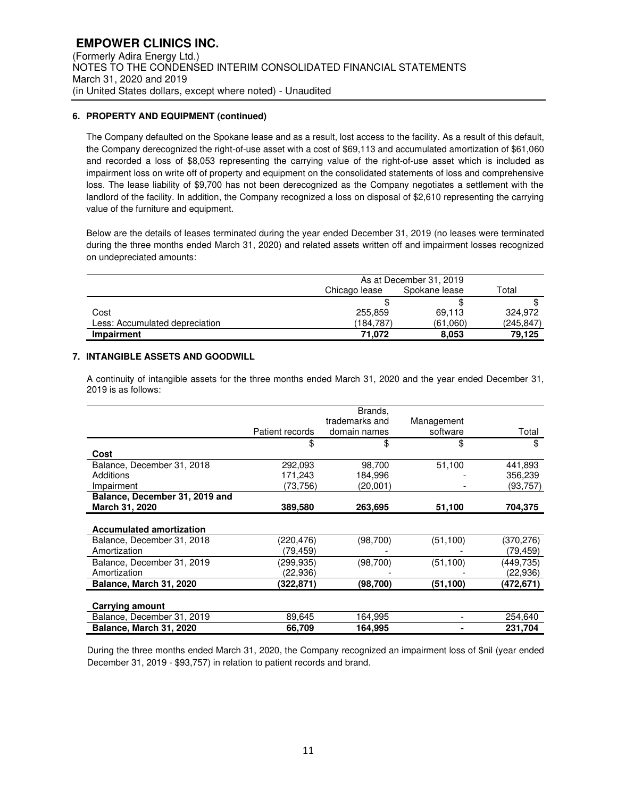## **6. PROPERTY AND EQUIPMENT (continued)**

The Company defaulted on the Spokane lease and as a result, lost access to the facility. As a result of this default, the Company derecognized the right-of-use asset with a cost of \$69,113 and accumulated amortization of \$61,060 and recorded a loss of \$8,053 representing the carrying value of the right-of-use asset which is included as impairment loss on write off of property and equipment on the consolidated statements of loss and comprehensive loss. The lease liability of \$9,700 has not been derecognized as the Company negotiates a settlement with the landlord of the facility. In addition, the Company recognized a loss on disposal of \$2,610 representing the carrying value of the furniture and equipment.

Below are the details of leases terminated during the year ended December 31, 2019 (no leases were terminated during the three months ended March 31, 2020) and related assets written off and impairment losses recognized on undepreciated amounts:

|                                | As at December 31, 2019 |          |            |  |
|--------------------------------|-------------------------|----------|------------|--|
|                                | Chicago lease           | Total    |            |  |
|                                |                         |          |            |  |
| Cost                           | 255,859                 | 69.113   | 324.972    |  |
| Less: Accumulated depreciation | (184.787)               | (61,060) | (245, 847) |  |
| Impairment                     | 71.072                  | 8.053    | 79.125     |  |

## **7. INTANGIBLE ASSETS AND GOODWILL**

A continuity of intangible assets for the three months ended March 31, 2020 and the year ended December 31, 2019 is as follows:

|                                 | Patient records | Brands,<br>trademarks and<br>domain names | Management<br>software | Total     |
|---------------------------------|-----------------|-------------------------------------------|------------------------|-----------|
|                                 | \$              | \$                                        | \$                     | \$        |
| Cost                            |                 |                                           |                        |           |
| Balance, December 31, 2018      | 292,093         | 98,700                                    | 51,100                 | 441,893   |
| Additions                       | 171,243         | 184,996                                   |                        | 356.239   |
| Impairment                      | (73,756)        | (20,001)                                  |                        | (93,757)  |
| Balance, December 31, 2019 and  |                 |                                           |                        |           |
| March 31, 2020                  | 389,580         | 263,695                                   | 51,100                 | 704,375   |
| <b>Accumulated amortization</b> |                 |                                           |                        |           |
| Balance, December 31, 2018      | (220,476)       | (98, 700)                                 | (51, 100)              | (370,276) |
| Amortization                    | (79,459)        |                                           |                        | (79,459)  |
| Balance, December 31, 2019      | (299.935)       | (98, 700)                                 | (51, 100)              | (449,735) |
| Amortization                    | (22,936)        |                                           |                        | (22,936)  |
| Balance, March 31, 2020         | (322,871)       | (98,700)                                  | (51, 100)              | (472,671) |
| Carrying amount                 |                 |                                           |                        |           |
| Balance, December 31, 2019      | 89,645          | 164.995                                   |                        | 254,640   |
| Balance, March 31, 2020         | 66,709          | 164,995                                   |                        | 231,704   |

During the three months ended March 31, 2020, the Company recognized an impairment loss of \$nil (year ended December 31, 2019 - \$93,757) in relation to patient records and brand.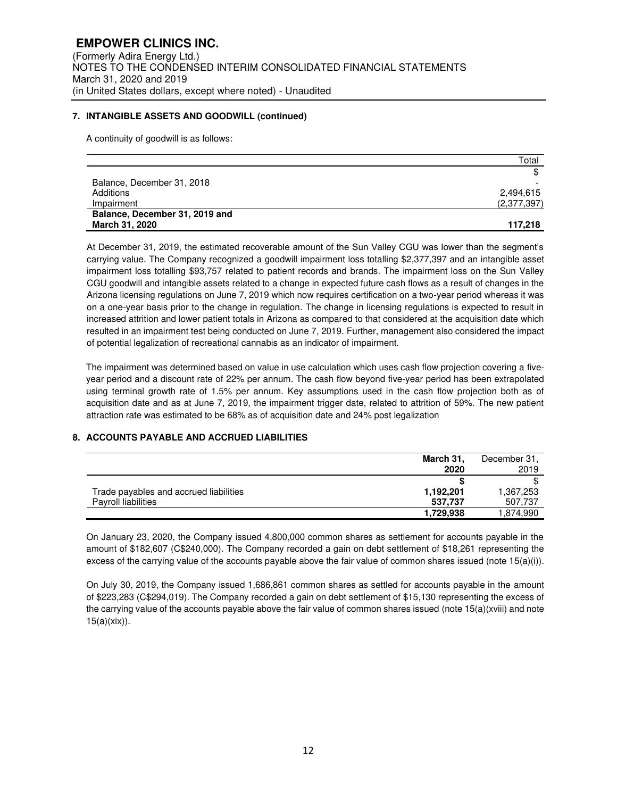## **7. INTANGIBLE ASSETS AND GOODWILL (continued)**

A continuity of goodwill is as follows:

|                                | Total       |
|--------------------------------|-------------|
|                                | \$          |
| Balance, December 31, 2018     |             |
| Additions                      | 2,494,615   |
| Impairment                     | (2,377,397) |
| Balance, December 31, 2019 and |             |
| March 31, 2020                 | 117,218     |

At December 31, 2019, the estimated recoverable amount of the Sun Valley CGU was lower than the segment's carrying value. The Company recognized a goodwill impairment loss totalling \$2,377,397 and an intangible asset impairment loss totalling \$93,757 related to patient records and brands. The impairment loss on the Sun Valley CGU goodwill and intangible assets related to a change in expected future cash flows as a result of changes in the Arizona licensing regulations on June 7, 2019 which now requires certification on a two-year period whereas it was on a one-year basis prior to the change in regulation. The change in licensing regulations is expected to result in increased attrition and lower patient totals in Arizona as compared to that considered at the acquisition date which resulted in an impairment test being conducted on June 7, 2019. Further, management also considered the impact of potential legalization of recreational cannabis as an indicator of impairment.

The impairment was determined based on value in use calculation which uses cash flow projection covering a fiveyear period and a discount rate of 22% per annum. The cash flow beyond five-year period has been extrapolated using terminal growth rate of 1.5% per annum. Key assumptions used in the cash flow projection both as of acquisition date and as at June 7, 2019, the impairment trigger date, related to attrition of 59%. The new patient attraction rate was estimated to be 68% as of acquisition date and 24% post legalization

## **8. ACCOUNTS PAYABLE AND ACCRUED LIABILITIES**

|                                        | March 31,<br>2020 | December 31.<br>2019 |
|----------------------------------------|-------------------|----------------------|
|                                        |                   |                      |
| Trade payables and accrued liabilities | 1,192,201         | 1,367,253            |
| Payroll liabilities                    | 537.737           | 507,737              |
|                                        | 1,729.938         | 1.874.990            |

On January 23, 2020, the Company issued 4,800,000 common shares as settlement for accounts payable in the amount of \$182,607 (C\$240,000). The Company recorded a gain on debt settlement of \$18,261 representing the excess of the carrying value of the accounts payable above the fair value of common shares issued (note  $15(a)(i)$ ).

On July 30, 2019, the Company issued 1,686,861 common shares as settled for accounts payable in the amount of \$223,283 (C\$294,019). The Company recorded a gain on debt settlement of \$15,130 representing the excess of the carrying value of the accounts payable above the fair value of common shares issued (note 15(a)(xviii) and note 15(a)(xix)).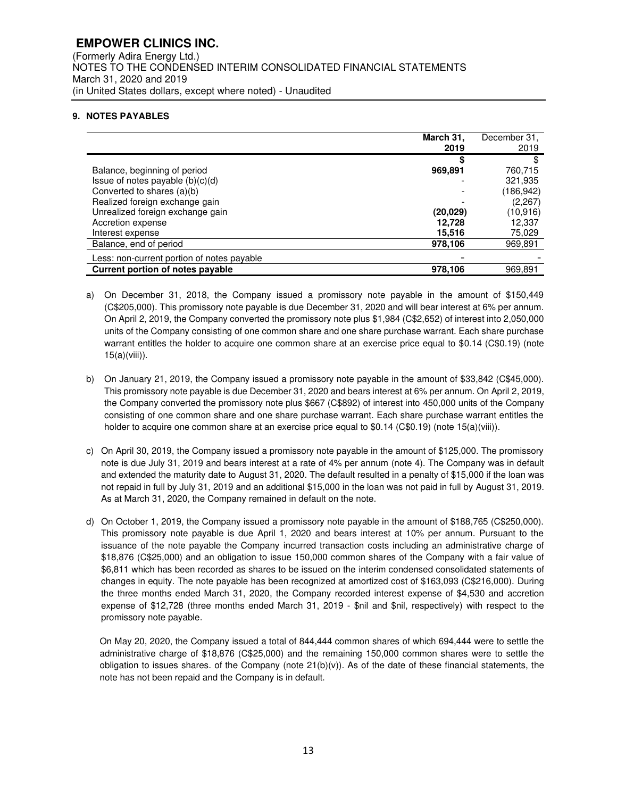## **EMPOWER CLINICS INC.**  (Formerly Adira Energy Ltd.) NOTES TO THE CONDENSED INTERIM CONSOLIDATED FINANCIAL STATEMENTS March 31, 2020 and 2019 (in United States dollars, except where noted) - Unaudited

## **9. NOTES PAYABLES**

|                                            | March 31,<br>2019 | December 31,<br>2019 |
|--------------------------------------------|-------------------|----------------------|
|                                            |                   |                      |
| Balance, beginning of period               | 969,891           | 760.715              |
| Issue of notes payable $(b)(c)(d)$         |                   | 321,935              |
| Converted to shares (a)(b)                 |                   | (186, 942)           |
| Realized foreign exchange gain             |                   | (2,267)              |
| Unrealized foreign exchange gain           | (20,029)          | (10,916)             |
| Accretion expense                          | 12,728            | 12,337               |
| Interest expense                           | 15,516            | 75,029               |
| Balance, end of period                     | 978,106           | 969,891              |
| Less: non-current portion of notes payable |                   |                      |
| <b>Current portion of notes payable</b>    | 978,106           | 969,891              |

- a) On December 31, 2018, the Company issued a promissory note payable in the amount of \$150,449 (C\$205,000). This promissory note payable is due December 31, 2020 and will bear interest at 6% per annum. On April 2, 2019, the Company converted the promissory note plus \$1,984 (C\$2,652) of interest into 2,050,000 units of the Company consisting of one common share and one share purchase warrant. Each share purchase warrant entitles the holder to acquire one common share at an exercise price equal to \$0.14 (C\$0.19) (note 15(a)(viii)).
- b) On January 21, 2019, the Company issued a promissory note payable in the amount of \$33,842 (C\$45,000). This promissory note payable is due December 31, 2020 and bears interest at 6% per annum. On April 2, 2019, the Company converted the promissory note plus \$667 (C\$892) of interest into 450,000 units of the Company consisting of one common share and one share purchase warrant. Each share purchase warrant entitles the holder to acquire one common share at an exercise price equal to \$0.14 (C\$0.19) (note 15(a)(viii)).
- c) On April 30, 2019, the Company issued a promissory note payable in the amount of \$125,000. The promissory note is due July 31, 2019 and bears interest at a rate of 4% per annum (note 4). The Company was in default and extended the maturity date to August 31, 2020. The default resulted in a penalty of \$15,000 if the loan was not repaid in full by July 31, 2019 and an additional \$15,000 in the loan was not paid in full by August 31, 2019. As at March 31, 2020, the Company remained in default on the note.
- d) On October 1, 2019, the Company issued a promissory note payable in the amount of \$188,765 (C\$250,000). This promissory note payable is due April 1, 2020 and bears interest at 10% per annum. Pursuant to the issuance of the note payable the Company incurred transaction costs including an administrative charge of \$18,876 (C\$25,000) and an obligation to issue 150,000 common shares of the Company with a fair value of \$6,811 which has been recorded as shares to be issued on the interim condensed consolidated statements of changes in equity. The note payable has been recognized at amortized cost of \$163,093 (C\$216,000). During the three months ended March 31, 2020, the Company recorded interest expense of \$4,530 and accretion expense of \$12,728 (three months ended March 31, 2019 - \$nil and \$nil, respectively) with respect to the promissory note payable.

On May 20, 2020, the Company issued a total of 844,444 common shares of which 694,444 were to settle the administrative charge of \$18,876 (C\$25,000) and the remaining 150,000 common shares were to settle the obligation to issues shares. of the Company (note  $21(b)(v)$ ). As of the date of these financial statements, the note has not been repaid and the Company is in default.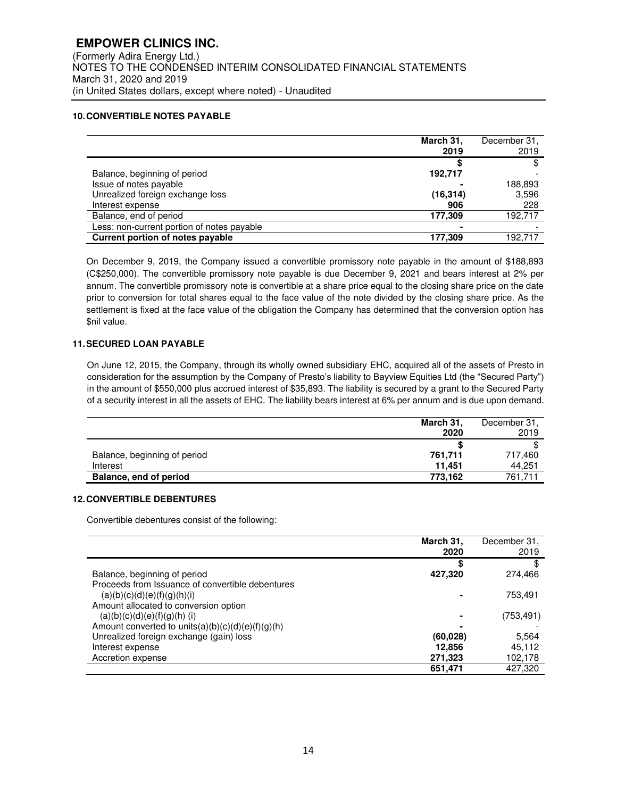## **10. CONVERTIBLE NOTES PAYABLE**

|                                            | March 31,<br>2019 | December 31,<br>2019 |
|--------------------------------------------|-------------------|----------------------|
|                                            |                   |                      |
| Balance, beginning of period               | 192,717           |                      |
| Issue of notes payable                     |                   | 188,893              |
| Unrealized foreign exchange loss           | (16, 314)         | 3,596                |
| Interest expense                           | 906               | 228                  |
| Balance, end of period                     | 177,309           | 192,717              |
| Less: non-current portion of notes payable |                   |                      |
| <b>Current portion of notes payable</b>    | 177,309           | 192.717              |

On December 9, 2019, the Company issued a convertible promissory note payable in the amount of \$188,893 (C\$250,000). The convertible promissory note payable is due December 9, 2021 and bears interest at 2% per annum. The convertible promissory note is convertible at a share price equal to the closing share price on the date prior to conversion for total shares equal to the face value of the note divided by the closing share price. As the settlement is fixed at the face value of the obligation the Company has determined that the conversion option has \$nil value.

## **11. SECURED LOAN PAYABLE**

On June 12, 2015, the Company, through its wholly owned subsidiary EHC, acquired all of the assets of Presto in consideration for the assumption by the Company of Presto's liability to Bayview Equities Ltd (the "Secured Party") in the amount of \$550,000 plus accrued interest of \$35,893. The liability is secured by a grant to the Secured Party of a security interest in all the assets of EHC. The liability bears interest at 6% per annum and is due upon demand.

|                              | March 31,<br>2020 | December 31,<br>2019 |
|------------------------------|-------------------|----------------------|
|                              |                   |                      |
| Balance, beginning of period | 761,711           | 717,460              |
| Interest                     | 11.451            | 44.251               |
| Balance, end of period       | 773.162           | 761.711              |

## **12. CONVERTIBLE DEBENTURES**

Convertible debentures consist of the following:

|                                                      | March 31,<br>2020 | December 31,<br>2019 |
|------------------------------------------------------|-------------------|----------------------|
|                                                      | S                 |                      |
| Balance, beginning of period                         | 427,320           | 274,466              |
| Proceeds from Issuance of convertible debentures     |                   |                      |
| (a)(b)(c)(d)(e)(f)(g)(h)(i)                          |                   | 753,491              |
| Amount allocated to conversion option                |                   |                      |
| $(a)(b)(c)(d)(e)(f)(g)(h)$ (i)                       |                   | (753, 491)           |
| Amount converted to units $(a)(b)(c)(d)(e)(f)(g)(h)$ |                   |                      |
| Unrealized foreign exchange (gain) loss              | (60,028)          | 5,564                |
| Interest expense                                     | 12,856            | 45,112               |
| Accretion expense                                    | 271,323           | 102,178              |
|                                                      | 651,471           | 427.320              |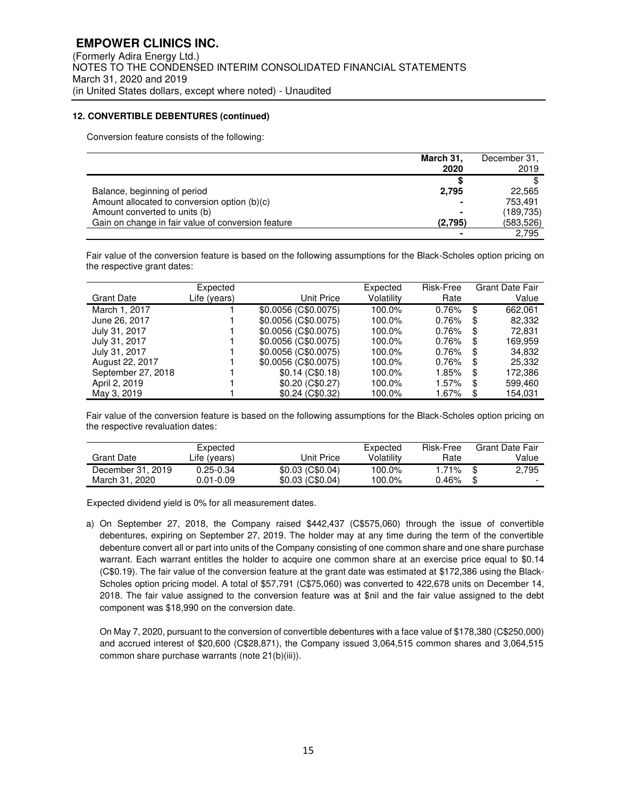### **12. CONVERTIBLE DEBENTURES (continued)**

Conversion feature consists of the following:

|                                                    | March 31,<br>2020 | December 31,<br>2019 |
|----------------------------------------------------|-------------------|----------------------|
|                                                    |                   |                      |
| Balance, beginning of period                       | 2,795             | 22,565               |
| Amount allocated to conversion option (b)(c)       |                   | 753.491              |
| Amount converted to units (b)                      |                   | (189, 735)           |
| Gain on change in fair value of conversion feature | (2,795)           | (583,526)            |
|                                                    |                   | 2.795                |

Fair value of the conversion feature is based on the following assumptions for the Black-Scholes option pricing on the respective grant dates:

| <b>Grant Date</b>  | Expected<br>Life (years) | Unit Price           | Expected<br>Volatility | Risk-Free<br>Rate |    | <b>Grant Date Fair</b><br>Value |
|--------------------|--------------------------|----------------------|------------------------|-------------------|----|---------------------------------|
| March 1, 2017      |                          | \$0.0056 (C\$0.0075) | 100.0%                 | 0.76%             | \$ | 662.061                         |
| June 26, 2017      |                          | \$0.0056 (C\$0.0075) | 100.0%                 | 0.76%             | \$ | 82,332                          |
| July 31, 2017      |                          | \$0.0056 (C\$0.0075) | 100.0%                 | 0.76%             | \$ | 72.831                          |
| July 31, 2017      |                          | \$0.0056 (C\$0.0075) | 100.0%                 | 0.76%             | S  | 169.959                         |
| July 31, 2017      |                          | \$0.0056 (C\$0.0075) | 100.0%                 | 0.76%             | \$ | 34,832                          |
| August 22, 2017    |                          | \$0.0056 (C\$0.0075) | 100.0%                 | 0.76%             | \$ | 25,332                          |
| September 27, 2018 |                          | \$0.14(C\$0.18)      | 100.0%                 | 1.85%             | S  | 172.386                         |
| April 2, 2019      |                          | \$0.20(C\$0.27)      | 100.0%                 | 1.57%             | S  | 599,460                         |
| May 3, 2019        |                          | \$0.24 (C\$0.32)     | 100.0%                 | 1.67%             | \$ | 154.031                         |

Fair value of the conversion feature is based on the following assumptions for the Black-Scholes option pricing on the respective revaluation dates:

|                   | Expected      |                   | Expected   | Risk-Free | <b>Grant Date Fair</b>   |
|-------------------|---------------|-------------------|------------|-----------|--------------------------|
| Grant Date        | Life (years)  | Unit Price        | Volatilitv | Rate      | Value                    |
| December 31, 2019 | $0.25 - 0.34$ | $$0.03$ (C\$0.04) | 100.0%     | 1.71%     | \$<br>2.795              |
| March 31, 2020    | $0.01 - 0.09$ | $$0.03$ (C\$0.04) | 100.0%     | $0.46\%$  | $\overline{\phantom{0}}$ |

Expected dividend yield is 0% for all measurement dates.

a) On September 27, 2018, the Company raised \$442,437 (C\$575,060) through the issue of convertible debentures, expiring on September 27, 2019. The holder may at any time during the term of the convertible debenture convert all or part into units of the Company consisting of one common share and one share purchase warrant. Each warrant entitles the holder to acquire one common share at an exercise price equal to \$0.14 (C\$0.19). The fair value of the conversion feature at the grant date was estimated at \$172,386 using the Black-Scholes option pricing model. A total of \$57,791 (C\$75,060) was converted to 422,678 units on December 14, 2018. The fair value assigned to the conversion feature was at \$nil and the fair value assigned to the debt component was \$18,990 on the conversion date.

On May 7, 2020, pursuant to the conversion of convertible debentures with a face value of \$178,380 (C\$250,000) and accrued interest of \$20,600 (C\$28,871), the Company issued 3,064,515 common shares and 3,064,515 common share purchase warrants (note 21(b)(iii)).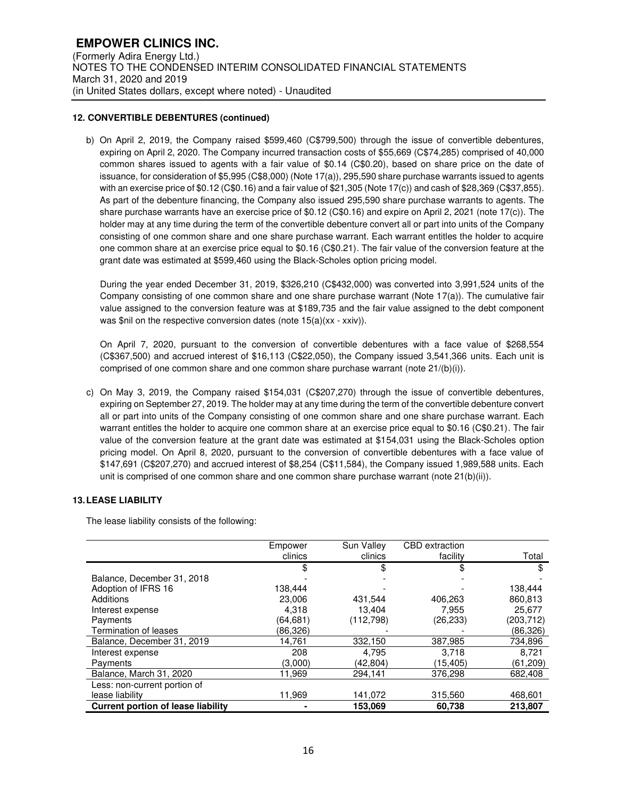## **12. CONVERTIBLE DEBENTURES (continued)**

b) On April 2, 2019, the Company raised \$599,460 (C\$799,500) through the issue of convertible debentures, expiring on April 2, 2020. The Company incurred transaction costs of \$55,669 (C\$74,285) comprised of 40,000 common shares issued to agents with a fair value of \$0.14 (C\$0.20), based on share price on the date of issuance, for consideration of \$5,995 (C\$8,000) (Note 17(a)), 295,590 share purchase warrants issued to agents with an exercise price of \$0.12 (C\$0.16) and a fair value of \$21,305 (Note 17(c)) and cash of \$28,369 (C\$37,855). As part of the debenture financing, the Company also issued 295,590 share purchase warrants to agents. The share purchase warrants have an exercise price of \$0.12 (C\$0.16) and expire on April 2, 2021 (note 17(c)). The holder may at any time during the term of the convertible debenture convert all or part into units of the Company consisting of one common share and one share purchase warrant. Each warrant entitles the holder to acquire one common share at an exercise price equal to \$0.16 (C\$0.21). The fair value of the conversion feature at the grant date was estimated at \$599,460 using the Black-Scholes option pricing model.

During the year ended December 31, 2019, \$326,210 (C\$432,000) was converted into 3,991,524 units of the Company consisting of one common share and one share purchase warrant (Note 17(a)). The cumulative fair value assigned to the conversion feature was at \$189,735 and the fair value assigned to the debt component was \$nil on the respective conversion dates (note 15(a)(xx - xxiv)).

On April 7, 2020, pursuant to the conversion of convertible debentures with a face value of \$268,554 (C\$367,500) and accrued interest of \$16,113 (C\$22,050), the Company issued 3,541,366 units. Each unit is comprised of one common share and one common share purchase warrant (note 21/(b)(i)).

c) On May 3, 2019, the Company raised \$154,031 (C\$207,270) through the issue of convertible debentures, expiring on September 27, 2019. The holder may at any time during the term of the convertible debenture convert all or part into units of the Company consisting of one common share and one share purchase warrant. Each warrant entitles the holder to acquire one common share at an exercise price equal to \$0.16 (C\$0.21). The fair value of the conversion feature at the grant date was estimated at \$154,031 using the Black-Scholes option pricing model. On April 8, 2020, pursuant to the conversion of convertible debentures with a face value of \$147,691 (C\$207,270) and accrued interest of \$8,254 (C\$11,584), the Company issued 1,989,588 units. Each unit is comprised of one common share and one common share purchase warrant (note 21(b)(ii)).

### **13. LEASE LIABILITY**

The lease liability consists of the following:

|                                           | Empower  | Sun Valley | <b>CBD</b> extraction |           |
|-------------------------------------------|----------|------------|-----------------------|-----------|
|                                           | clinics  | clinics    | facility              | Total     |
|                                           | \$       | \$         | \$                    |           |
| Balance, December 31, 2018                |          |            |                       |           |
| Adoption of IFRS 16                       | 138,444  |            |                       | 138,444   |
| Additions                                 | 23,006   | 431.544    | 406,263               | 860,813   |
| Interest expense                          | 4.318    | 13.404     | 7.955                 | 25,677    |
| Payments                                  | (64,681) | (112, 798) | (26, 233)             | (203,712) |
| Termination of leases                     | (86,326) |            |                       | (86, 326) |
| Balance, December 31, 2019                | 14,761   | 332,150    | 387,985               | 734,896   |
| Interest expense                          | 208      | 4,795      | 3.718                 | 8,721     |
| Payments                                  | (3,000)  | (42.804)   | (15,405)              | (61, 209) |
| Balance, March 31, 2020                   | 11.969   | 294,141    | 376.298               | 682,408   |
| Less: non-current portion of              |          |            |                       |           |
| lease liability                           | 11,969   | 141,072    | 315,560               | 468,601   |
| <b>Current portion of lease liability</b> |          | 153.069    | 60,738                | 213,807   |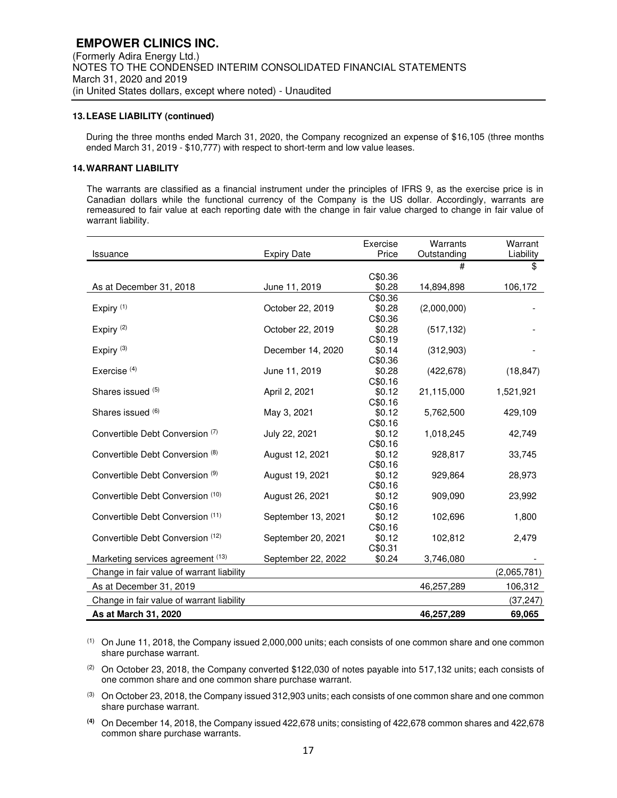#### **13. LEASE LIABILITY (continued)**

During the three months ended March 31, 2020, the Company recognized an expense of \$16,105 (three months ended March 31, 2019 - \$10,777) with respect to short-term and low value leases.

#### **14. WARRANT LIABILITY**

The warrants are classified as a financial instrument under the principles of IFRS 9, as the exercise price is in Canadian dollars while the functional currency of the Company is the US dollar. Accordingly, warrants are remeasured to fair value at each reporting date with the change in fair value charged to change in fair value of warrant liability.

|                                           |                    | Exercise          | Warrants    | Warrant     |
|-------------------------------------------|--------------------|-------------------|-------------|-------------|
| Issuance                                  | <b>Expiry Date</b> | Price             | Outstanding | Liability   |
|                                           |                    |                   | #           | \$          |
|                                           |                    | C\$0.36           |             |             |
| As at December 31, 2018                   | June 11, 2019      | \$0.28            | 14,894,898  | 106,172     |
|                                           |                    | C\$0.36           |             |             |
| Expiry <sup>(1)</sup>                     | October 22, 2019   | \$0.28            | (2,000,000) |             |
|                                           |                    | C\$0.36           |             |             |
| Expiry $(2)$                              | October 22, 2019   | \$0.28            | (517, 132)  |             |
|                                           |                    | C\$0.19           |             |             |
| Expiry <sup>(3)</sup>                     | December 14, 2020  | \$0.14            | (312,903)   |             |
|                                           |                    | C\$0.36           |             |             |
| Exercise $(4)$                            | June 11, 2019      | \$0.28            | (422, 678)  | (18, 847)   |
|                                           |                    | C\$0.16           |             |             |
| Shares issued (5)                         | April 2, 2021      | \$0.12            | 21,115,000  | 1,521,921   |
| Shares issued (6)                         |                    | C\$0.16           |             |             |
|                                           | May 3, 2021        | \$0.12            | 5,762,500   | 429,109     |
| Convertible Debt Conversion (7)           | July 22, 2021      | C\$0.16<br>\$0.12 | 1,018,245   | 42,749      |
|                                           |                    | C\$0.16           |             |             |
| Convertible Debt Conversion (8)           | August 12, 2021    | \$0.12            | 928,817     | 33,745      |
|                                           |                    | C\$0.16           |             |             |
| Convertible Debt Conversion (9)           | August 19, 2021    | \$0.12            | 929,864     | 28,973      |
|                                           |                    | C\$0.16           |             |             |
| Convertible Debt Conversion (10)          | August 26, 2021    | \$0.12            | 909,090     | 23,992      |
|                                           |                    | C\$0.16           |             |             |
| Convertible Debt Conversion (11)          | September 13, 2021 | \$0.12            | 102,696     | 1,800       |
|                                           |                    | C\$0.16           |             |             |
| Convertible Debt Conversion (12)          | September 20, 2021 | \$0.12            | 102,812     | 2,479       |
|                                           |                    | C\$0.31           |             |             |
| Marketing services agreement (13)         | September 22, 2022 | \$0.24            | 3,746,080   |             |
| Change in fair value of warrant liability |                    |                   |             | (2,065,781) |
|                                           |                    |                   |             |             |
| As at December 31, 2019                   |                    |                   | 46,257,289  | 106,312     |
| Change in fair value of warrant liability |                    |                   |             | (37, 247)   |
| As at March 31, 2020                      |                    |                   | 46,257,289  | 69,065      |

(1) On June 11, 2018, the Company issued 2,000,000 units; each consists of one common share and one common share purchase warrant.

(2) On October 23, 2018, the Company converted \$122,030 of notes payable into 517,132 units; each consists of one common share and one common share purchase warrant.

 $(3)$  On October 23, 2018, the Company issued 312,903 units; each consists of one common share and one common share purchase warrant.

**(4)** On December 14, 2018, the Company issued 422,678 units; consisting of 422,678 common shares and 422,678 common share purchase warrants.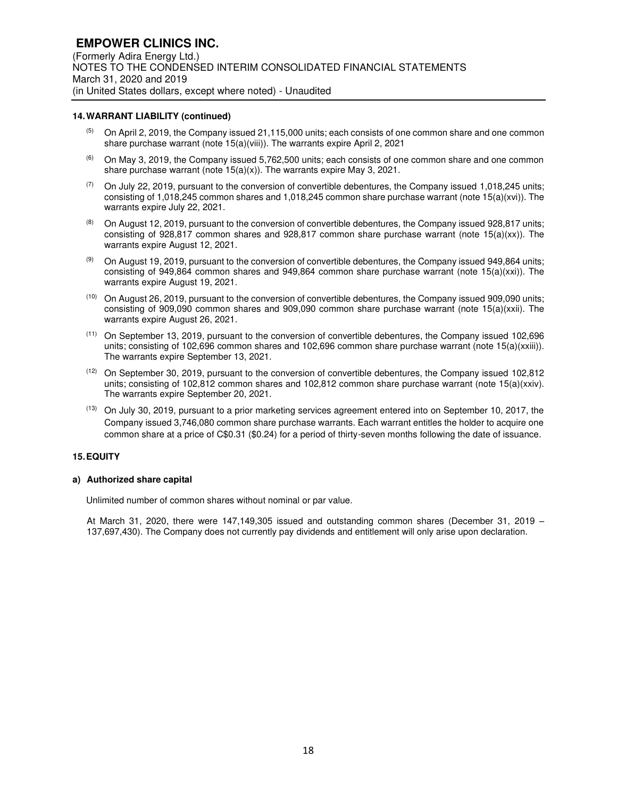#### **14. WARRANT LIABILITY (continued)**

- $(5)$  On April 2, 2019, the Company issued 21,115,000 units; each consists of one common share and one common share purchase warrant (note 15(a)(viii)). The warrants expire April 2, 2021
- $(6)$  On May 3, 2019, the Company issued 5,762,500 units; each consists of one common share and one common share purchase warrant (note 15(a)(x)). The warrants expire May 3, 2021.
- $(7)$  On July 22, 2019, pursuant to the conversion of convertible debentures, the Company issued 1,018,245 units; consisting of 1,018,245 common shares and 1,018,245 common share purchase warrant (note 15(a)(xvi)). The warrants expire July 22, 2021.
- $(8)$  On August 12, 2019, pursuant to the conversion of convertible debentures, the Company issued 928,817 units; consisting of 928,817 common shares and 928,817 common share purchase warrant (note 15(a)(xx)). The warrants expire August 12, 2021.
- $(9)$  On August 19, 2019, pursuant to the conversion of convertible debentures, the Company issued 949,864 units; consisting of 949,864 common shares and 949,864 common share purchase warrant (note 15(a)(xxi)). The warrants expire August 19, 2021.
- (10) On August 26, 2019, pursuant to the conversion of convertible debentures, the Company issued 909,090 units; consisting of 909,090 common shares and 909,090 common share purchase warrant (note 15(a)(xxii). The warrants expire August 26, 2021.
- (11) On September 13, 2019, pursuant to the conversion of convertible debentures, the Company issued 102,696 units; consisting of 102,696 common shares and 102,696 common share purchase warrant (note 15(a)(xxiii)). The warrants expire September 13, 2021.
- (12) On September 30, 2019, pursuant to the conversion of convertible debentures, the Company issued 102,812 units; consisting of 102,812 common shares and 102,812 common share purchase warrant (note 15(a)(xxiv). The warrants expire September 20, 2021.
- (13) On July 30, 2019, pursuant to a prior marketing services agreement entered into on September 10, 2017, the Company issued 3,746,080 common share purchase warrants. Each warrant entitles the holder to acquire one common share at a price of C\$0.31 (\$0.24) for a period of thirty-seven months following the date of issuance.

#### **15. EQUITY**

#### **a) Authorized share capital**

Unlimited number of common shares without nominal or par value.

At March 31, 2020, there were 147,149,305 issued and outstanding common shares (December 31, 2019 – 137,697,430). The Company does not currently pay dividends and entitlement will only arise upon declaration.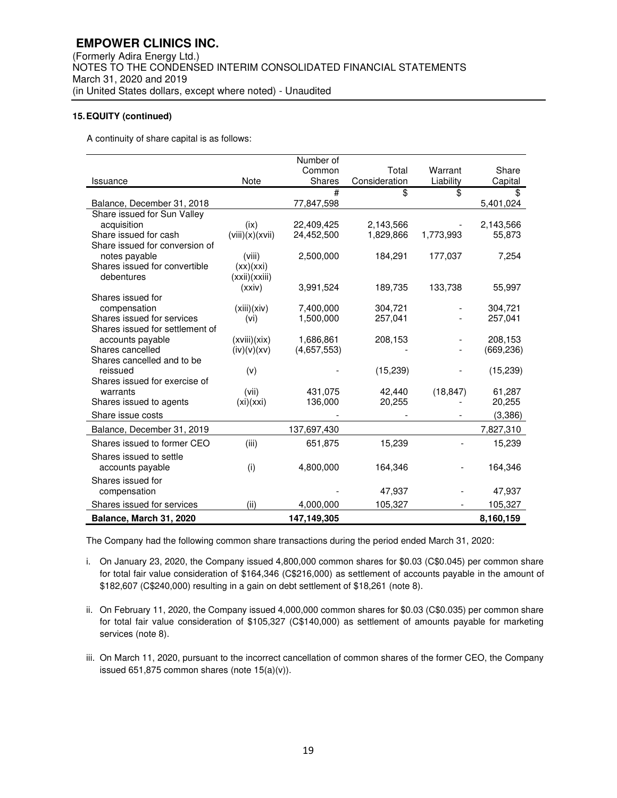A continuity of share capital is as follows:

|                                                               |                 | Number of   |               |           |                       |
|---------------------------------------------------------------|-----------------|-------------|---------------|-----------|-----------------------|
|                                                               |                 | Common      | Total         | Warrant   | Share                 |
| Issuance                                                      | <b>Note</b>     | Shares      | Consideration | Liability | Capital               |
|                                                               |                 | #           | \$            | \$        | \$                    |
| Balance, December 31, 2018                                    |                 | 77,847,598  |               |           | 5,401,024             |
| Share issued for Sun Valley                                   |                 |             |               |           |                       |
| acquisition                                                   | (ix)            | 22,409,425  | 2,143,566     |           | 2,143,566             |
| Share issued for cash                                         | (viii)(x)(xvii) | 24,452,500  | 1,829,866     | 1,773,993 | 55,873                |
| Share issued for conversion of                                |                 |             |               |           |                       |
| notes payable                                                 | (viii)          | 2,500,000   | 184,291       | 177,037   | 7,254                 |
| Shares issued for convertible                                 | (xx)(xxi)       |             |               |           |                       |
| debentures                                                    | (xxi)(xxiii)    |             |               |           |                       |
|                                                               | (xxiv)          | 3,991,524   | 189,735       | 133,738   | 55,997                |
| Shares issued for                                             |                 |             |               |           |                       |
| compensation                                                  | (xiii)(xiv)     | 7,400,000   | 304,721       |           | 304,721               |
| Shares issued for services<br>Shares issued for settlement of | (vi)            | 1,500,000   | 257,041       |           | 257,041               |
|                                                               |                 |             |               |           |                       |
| accounts payable<br>Shares cancelled                          | (xviii)(xix)    | 1,686,861   | 208,153       |           | 208,153<br>(669, 236) |
| Shares cancelled and to be                                    | (iv)(v)(xv)     | (4,657,553) |               |           |                       |
| reissued                                                      | (v)             |             | (15, 239)     |           | (15, 239)             |
| Shares issued for exercise of                                 |                 |             |               |           |                       |
| warrants                                                      | (vii)           | 431,075     | 42,440        | (18, 847) | 61,287                |
| Shares issued to agents                                       | (xi)(xxi)       | 136,000     | 20,255        |           | 20,255                |
| Share issue costs                                             |                 |             |               |           |                       |
|                                                               |                 |             |               |           | (3,386)               |
| Balance, December 31, 2019                                    |                 | 137,697,430 |               |           | 7,827,310             |
| Shares issued to former CEO                                   | (iii)           | 651,875     | 15,239        |           | 15,239                |
| Shares issued to settle                                       |                 |             |               |           |                       |
| accounts payable                                              | (i)             | 4,800,000   | 164,346       |           | 164,346               |
| Shares issued for                                             |                 |             |               |           |                       |
| compensation                                                  |                 |             | 47,937        |           | 47,937                |
| Shares issued for services                                    | (iii)           | 4,000,000   | 105,327       |           | 105,327               |
| Balance, March 31, 2020                                       |                 | 147,149,305 |               |           | 8,160,159             |

The Company had the following common share transactions during the period ended March 31, 2020:

- i. On January 23, 2020, the Company issued 4,800,000 common shares for \$0.03 (C\$0.045) per common share for total fair value consideration of \$164,346 (C\$216,000) as settlement of accounts payable in the amount of \$182,607 (C\$240,000) resulting in a gain on debt settlement of \$18,261 (note 8).
- ii. On February 11, 2020, the Company issued 4,000,000 common shares for \$0.03 (C\$0.035) per common share for total fair value consideration of \$105,327 (C\$140,000) as settlement of amounts payable for marketing services (note 8).
- iii. On March 11, 2020, pursuant to the incorrect cancellation of common shares of the former CEO, the Company issued  $651,875$  common shares (note  $15(a)(v)$ ).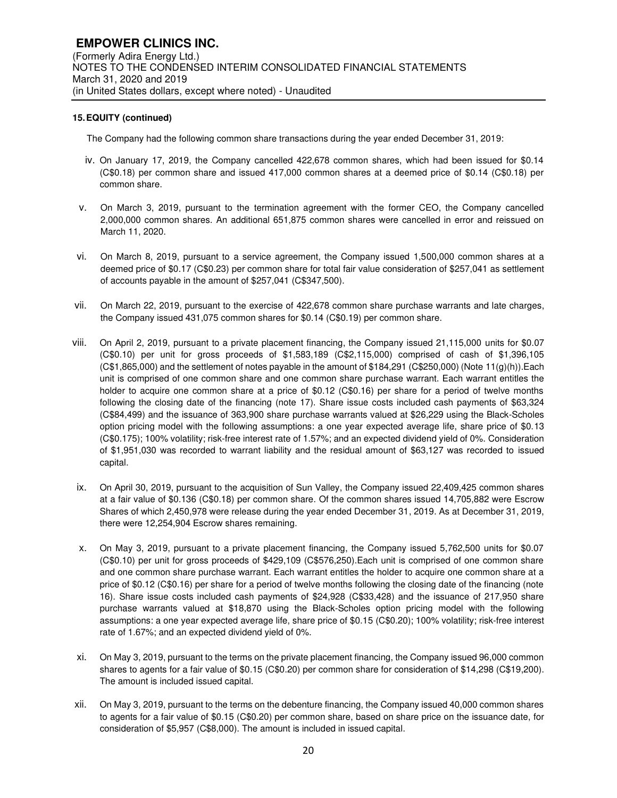The Company had the following common share transactions during the year ended December 31, 2019:

- iv. On January 17, 2019, the Company cancelled 422,678 common shares, which had been issued for \$0.14 (C\$0.18) per common share and issued 417,000 common shares at a deemed price of \$0.14 (C\$0.18) per common share.
- v. On March 3, 2019, pursuant to the termination agreement with the former CEO, the Company cancelled 2,000,000 common shares. An additional 651,875 common shares were cancelled in error and reissued on March 11, 2020.
- vi. On March 8, 2019, pursuant to a service agreement, the Company issued 1,500,000 common shares at a deemed price of \$0.17 (C\$0.23) per common share for total fair value consideration of \$257,041 as settlement of accounts payable in the amount of \$257,041 (C\$347,500).
- vii. On March 22, 2019, pursuant to the exercise of 422,678 common share purchase warrants and late charges, the Company issued 431,075 common shares for \$0.14 (C\$0.19) per common share.
- viii. On April 2, 2019, pursuant to a private placement financing, the Company issued 21,115,000 units for \$0.07 (C\$0.10) per unit for gross proceeds of \$1,583,189 (C\$2,115,000) comprised of cash of \$1,396,105  $(C$1,865,000)$  and the settlement of notes payable in the amount of \$184,291  $(C$250,000)$  (Note 11(g)(h)). Each unit is comprised of one common share and one common share purchase warrant. Each warrant entitles the holder to acquire one common share at a price of \$0.12 (C\$0.16) per share for a period of twelve months following the closing date of the financing (note 17). Share issue costs included cash payments of \$63,324 (C\$84,499) and the issuance of 363,900 share purchase warrants valued at \$26,229 using the Black-Scholes option pricing model with the following assumptions: a one year expected average life, share price of \$0.13 (C\$0.175); 100% volatility; risk-free interest rate of 1.57%; and an expected dividend yield of 0%. Consideration of \$1,951,030 was recorded to warrant liability and the residual amount of \$63,127 was recorded to issued capital.
- ix. On April 30, 2019, pursuant to the acquisition of Sun Valley, the Company issued 22,409,425 common shares at a fair value of \$0.136 (C\$0.18) per common share. Of the common shares issued 14,705,882 were Escrow Shares of which 2,450,978 were release during the year ended December 31, 2019. As at December 31, 2019, there were 12,254,904 Escrow shares remaining.
- x. On May 3, 2019, pursuant to a private placement financing, the Company issued 5,762,500 units for \$0.07 (C\$0.10) per unit for gross proceeds of \$429,109 (C\$576,250).Each unit is comprised of one common share and one common share purchase warrant. Each warrant entitles the holder to acquire one common share at a price of \$0.12 (C\$0.16) per share for a period of twelve months following the closing date of the financing (note 16). Share issue costs included cash payments of \$24,928 (C\$33,428) and the issuance of 217,950 share purchase warrants valued at \$18,870 using the Black-Scholes option pricing model with the following assumptions: a one year expected average life, share price of \$0.15 (C\$0.20); 100% volatility; risk-free interest rate of 1.67%; and an expected dividend yield of 0%.
- xi. On May 3, 2019, pursuant to the terms on the private placement financing, the Company issued 96,000 common shares to agents for a fair value of \$0.15 (C\$0.20) per common share for consideration of \$14,298 (C\$19,200). The amount is included issued capital.
- xii. On May 3, 2019, pursuant to the terms on the debenture financing, the Company issued 40,000 common shares to agents for a fair value of \$0.15 (C\$0.20) per common share, based on share price on the issuance date, for consideration of \$5,957 (C\$8,000). The amount is included in issued capital.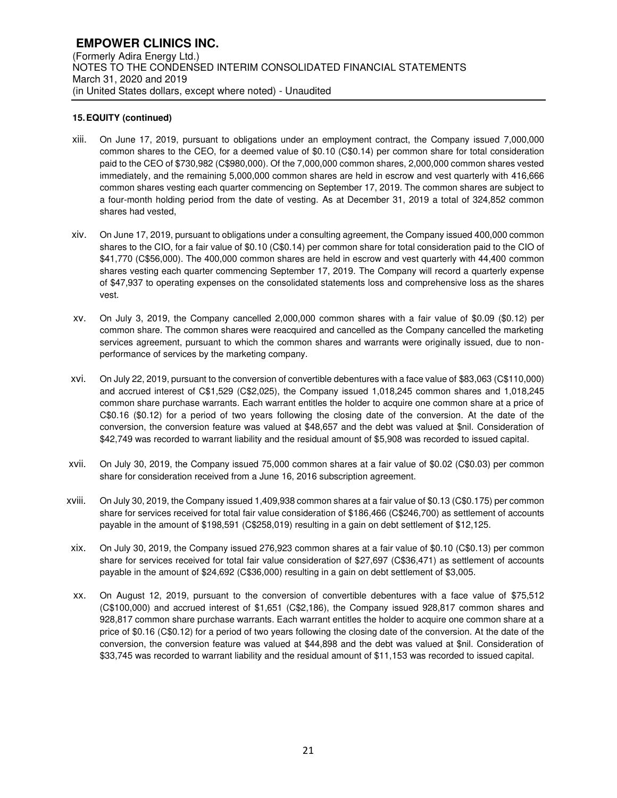- xiii. On June 17, 2019, pursuant to obligations under an employment contract, the Company issued 7,000,000 common shares to the CEO, for a deemed value of \$0.10 (C\$0.14) per common share for total consideration paid to the CEO of \$730,982 (C\$980,000). Of the 7,000,000 common shares, 2,000,000 common shares vested immediately, and the remaining 5,000,000 common shares are held in escrow and vest quarterly with 416,666 common shares vesting each quarter commencing on September 17, 2019. The common shares are subject to a four-month holding period from the date of vesting. As at December 31, 2019 a total of 324,852 common shares had vested,
- xiv. On June 17, 2019, pursuant to obligations under a consulting agreement, the Company issued 400,000 common shares to the CIO, for a fair value of \$0.10 (C\$0.14) per common share for total consideration paid to the CIO of \$41,770 (C\$56,000). The 400,000 common shares are held in escrow and vest quarterly with 44,400 common shares vesting each quarter commencing September 17, 2019. The Company will record a quarterly expense of \$47,937 to operating expenses on the consolidated statements loss and comprehensive loss as the shares vest.
- xv. On July 3, 2019, the Company cancelled 2,000,000 common shares with a fair value of \$0.09 (\$0.12) per common share. The common shares were reacquired and cancelled as the Company cancelled the marketing services agreement, pursuant to which the common shares and warrants were originally issued, due to nonperformance of services by the marketing company.
- xvi. On July 22, 2019, pursuant to the conversion of convertible debentures with a face value of \$83,063 (C\$110,000) and accrued interest of C\$1,529 (C\$2,025), the Company issued 1,018,245 common shares and 1,018,245 common share purchase warrants. Each warrant entitles the holder to acquire one common share at a price of C\$0.16 (\$0.12) for a period of two years following the closing date of the conversion. At the date of the conversion, the conversion feature was valued at \$48,657 and the debt was valued at \$nil. Consideration of \$42,749 was recorded to warrant liability and the residual amount of \$5,908 was recorded to issued capital.
- xvii. On July 30, 2019, the Company issued 75,000 common shares at a fair value of \$0.02 (C\$0.03) per common share for consideration received from a June 16, 2016 subscription agreement.
- xviii. On July 30, 2019, the Company issued 1,409,938 common shares at a fair value of \$0.13 (C\$0.175) per common share for services received for total fair value consideration of \$186,466 (C\$246,700) as settlement of accounts payable in the amount of \$198,591 (C\$258,019) resulting in a gain on debt settlement of \$12,125.
- xix. On July 30, 2019, the Company issued 276,923 common shares at a fair value of \$0.10 (C\$0.13) per common share for services received for total fair value consideration of \$27,697 (C\$36,471) as settlement of accounts payable in the amount of \$24,692 (C\$36,000) resulting in a gain on debt settlement of \$3,005.
- xx. On August 12, 2019, pursuant to the conversion of convertible debentures with a face value of \$75,512 (C\$100,000) and accrued interest of \$1,651 (C\$2,186), the Company issued 928,817 common shares and 928,817 common share purchase warrants. Each warrant entitles the holder to acquire one common share at a price of \$0.16 (C\$0.12) for a period of two years following the closing date of the conversion. At the date of the conversion, the conversion feature was valued at \$44,898 and the debt was valued at \$nil. Consideration of \$33,745 was recorded to warrant liability and the residual amount of \$11,153 was recorded to issued capital.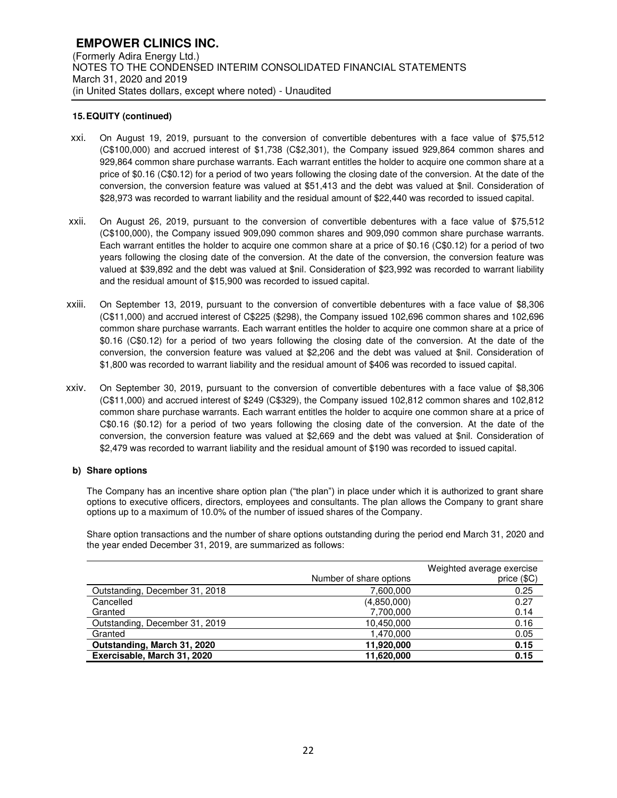- xxi. On August 19, 2019, pursuant to the conversion of convertible debentures with a face value of \$75,512 (C\$100,000) and accrued interest of \$1,738 (C\$2,301), the Company issued 929,864 common shares and 929,864 common share purchase warrants. Each warrant entitles the holder to acquire one common share at a price of \$0.16 (C\$0.12) for a period of two years following the closing date of the conversion. At the date of the conversion, the conversion feature was valued at \$51,413 and the debt was valued at \$nil. Consideration of \$28,973 was recorded to warrant liability and the residual amount of \$22,440 was recorded to issued capital.
- xxii. On August 26, 2019, pursuant to the conversion of convertible debentures with a face value of \$75,512 (C\$100,000), the Company issued 909,090 common shares and 909,090 common share purchase warrants. Each warrant entitles the holder to acquire one common share at a price of \$0.16 (C\$0.12) for a period of two years following the closing date of the conversion. At the date of the conversion, the conversion feature was valued at \$39,892 and the debt was valued at \$nil. Consideration of \$23,992 was recorded to warrant liability and the residual amount of \$15,900 was recorded to issued capital.
- xxiii. On September 13, 2019, pursuant to the conversion of convertible debentures with a face value of \$8,306 (C\$11,000) and accrued interest of C\$225 (\$298), the Company issued 102,696 common shares and 102,696 common share purchase warrants. Each warrant entitles the holder to acquire one common share at a price of \$0.16 (C\$0.12) for a period of two years following the closing date of the conversion. At the date of the conversion, the conversion feature was valued at \$2,206 and the debt was valued at \$nil. Consideration of \$1,800 was recorded to warrant liability and the residual amount of \$406 was recorded to issued capital.
- xxiv. On September 30, 2019, pursuant to the conversion of convertible debentures with a face value of \$8,306 (C\$11,000) and accrued interest of \$249 (C\$329), the Company issued 102,812 common shares and 102,812 common share purchase warrants. Each warrant entitles the holder to acquire one common share at a price of C\$0.16 (\$0.12) for a period of two years following the closing date of the conversion. At the date of the conversion, the conversion feature was valued at \$2,669 and the debt was valued at \$nil. Consideration of \$2,479 was recorded to warrant liability and the residual amount of \$190 was recorded to issued capital.

#### **b) Share options**

The Company has an incentive share option plan ("the plan") in place under which it is authorized to grant share options to executive officers, directors, employees and consultants. The plan allows the Company to grant share options up to a maximum of 10.0% of the number of issued shares of the Company.

Share option transactions and the number of share options outstanding during the period end March 31, 2020 and the year ended December 31, 2019, are summarized as follows:

|                                | Number of share options | Weighted average exercise<br>price (\$C) |
|--------------------------------|-------------------------|------------------------------------------|
| Outstanding, December 31, 2018 | 7,600,000               | 0.25                                     |
| Cancelled                      | (4,850,000)             | 0.27                                     |
| Granted                        | 7,700,000               | 0.14                                     |
| Outstanding, December 31, 2019 | 10,450,000              | 0.16                                     |
| Granted                        | 1,470,000               | 0.05                                     |
| Outstanding, March 31, 2020    | 11,920,000              | 0.15                                     |
| Exercisable, March 31, 2020    | 11,620,000              | 0.15                                     |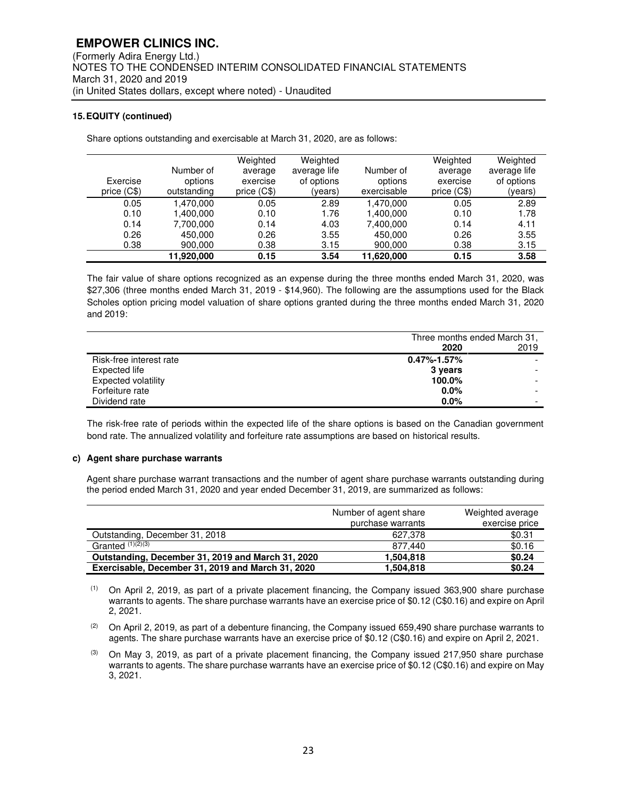Share options outstanding and exercisable at March 31, 2020, are as follows:

| Exercise<br>price (C\$) | Number of<br>options<br>outstanding | Weighted<br>average<br>exercise<br>price (C\$) | Weighted<br>average life<br>of options<br>(years) | Number of<br>options<br>exercisable | Weighted<br>average<br>exercise<br>price (C\$) | Weighted<br>average life<br>of options<br>(years) |
|-------------------------|-------------------------------------|------------------------------------------------|---------------------------------------------------|-------------------------------------|------------------------------------------------|---------------------------------------------------|
| 0.05                    | .470.000                            | 0.05                                           | 2.89                                              | 1.470.000                           | 0.05                                           | 2.89                                              |
| 0.10                    | 1,400,000                           | 0.10                                           | 1.76                                              | 1,400,000                           | 0.10                                           | 1.78                                              |
| 0.14                    | 7,700,000                           | 0.14                                           | 4.03                                              | 7,400,000                           | 0.14                                           | 4.11                                              |
| 0.26                    | 450,000                             | 0.26                                           | 3.55                                              | 450.000                             | 0.26                                           | 3.55                                              |
| 0.38                    | 900,000                             | 0.38                                           | 3.15                                              | 900,000                             | 0.38                                           | 3.15                                              |
|                         | 11,920,000                          | 0.15                                           | 3.54                                              | 11,620,000                          | 0.15                                           | 3.58                                              |

The fair value of share options recognized as an expense during the three months ended March 31, 2020, was \$27,306 (three months ended March 31, 2019 - \$14,960). The following are the assumptions used for the Black Scholes option pricing model valuation of share options granted during the three months ended March 31, 2020 and 2019:

|                            | Three months ended March 31, |      |
|----------------------------|------------------------------|------|
|                            | 2020                         | 2019 |
| Risk-free interest rate    | $0.47\% - 1.57\%$            |      |
| Expected life              | 3 years                      |      |
| <b>Expected volatility</b> | 100.0%                       |      |
| Forfeiture rate            | $0.0\%$                      |      |
| Dividend rate              | $0.0\%$                      |      |

The risk-free rate of periods within the expected life of the share options is based on the Canadian government bond rate. The annualized volatility and forfeiture rate assumptions are based on historical results.

#### **c) Agent share purchase warrants**

Agent share purchase warrant transactions and the number of agent share purchase warrants outstanding during the period ended March 31, 2020 and year ended December 31, 2019, are summarized as follows:

|                                                   | Number of agent share<br>purchase warrants | Weighted average<br>exercise price |
|---------------------------------------------------|--------------------------------------------|------------------------------------|
| Outstanding, December 31, 2018                    | 627.378                                    | \$0.31                             |
| Granted $(1)(2)(3)$                               | 877.440                                    | \$0.16                             |
| Outstanding, December 31, 2019 and March 31, 2020 | 1,504,818                                  | \$0.24                             |
| Exercisable, December 31, 2019 and March 31, 2020 | 1.504.818                                  | \$0.24                             |

 $(1)$  On April 2, 2019, as part of a private placement financing, the Company issued 363,900 share purchase warrants to agents. The share purchase warrants have an exercise price of \$0.12 (C\$0.16) and expire on April 2, 2021.

(2) On April 2, 2019, as part of a debenture financing, the Company issued 659,490 share purchase warrants to agents. The share purchase warrants have an exercise price of \$0.12 (C\$0.16) and expire on April 2, 2021.

 $(3)$  On May 3, 2019, as part of a private placement financing, the Company issued 217,950 share purchase warrants to agents. The share purchase warrants have an exercise price of \$0.12 (C\$0.16) and expire on May 3, 2021.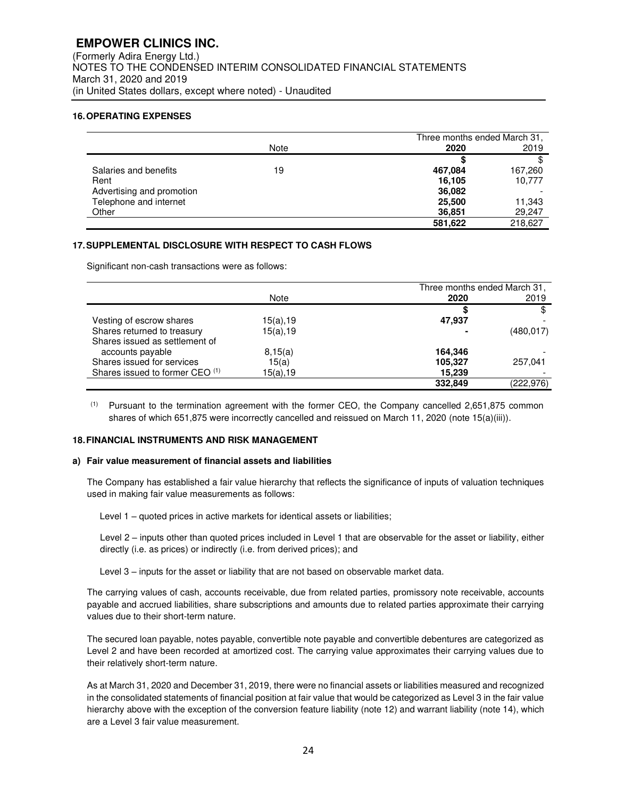(Formerly Adira Energy Ltd.) NOTES TO THE CONDENSED INTERIM CONSOLIDATED FINANCIAL STATEMENTS March 31, 2020 and 2019 (in United States dollars, except where noted) - Unaudited

## **16. OPERATING EXPENSES**

|                           |      |         | Three months ended March 31, |
|---------------------------|------|---------|------------------------------|
|                           | Note | 2020    | 2019                         |
|                           |      |         |                              |
| Salaries and benefits     | 19   | 467.084 | 167,260                      |
| Rent                      |      | 16.105  | 10,777                       |
| Advertising and promotion |      | 36,082  |                              |
| Telephone and internet    |      | 25,500  | 11,343                       |
| Other                     |      | 36,851  | 29,247                       |
|                           |      | 581.622 | 218,627                      |

## **17. SUPPLEMENTAL DISCLOSURE WITH RESPECT TO CASH FLOWS**

Significant non-cash transactions were as follows:

|                                 |          | Three months ended March 31, |            |
|---------------------------------|----------|------------------------------|------------|
|                                 | Note     | 2020                         | 2019       |
|                                 |          |                              | \$         |
| Vesting of escrow shares        | 15(a),19 | 47.937                       |            |
| Shares returned to treasury     | 15(a).19 |                              | (480.017)  |
| Shares issued as settlement of  |          |                              |            |
| accounts payable                | 8,15(a)  | 164.346                      |            |
| Shares issued for services      | 15(a)    | 105,327                      | 257.041    |
| Shares issued to former CEO (1) | 15(a),19 | 15.239                       |            |
|                                 |          | 332.849                      | (222, 976) |

(1) Pursuant to the termination agreement with the former CEO, the Company cancelled 2,651,875 common shares of which 651,875 were incorrectly cancelled and reissued on March 11, 2020 (note 15(a)(iii)).

#### **18. FINANCIAL INSTRUMENTS AND RISK MANAGEMENT**

#### **a) Fair value measurement of financial assets and liabilities**

The Company has established a fair value hierarchy that reflects the significance of inputs of valuation techniques used in making fair value measurements as follows:

Level 1 – quoted prices in active markets for identical assets or liabilities;

Level 2 – inputs other than quoted prices included in Level 1 that are observable for the asset or liability, either directly (i.e. as prices) or indirectly (i.e. from derived prices); and

Level 3 – inputs for the asset or liability that are not based on observable market data.

The carrying values of cash, accounts receivable, due from related parties, promissory note receivable, accounts payable and accrued liabilities, share subscriptions and amounts due to related parties approximate their carrying values due to their short-term nature.

The secured loan payable, notes payable, convertible note payable and convertible debentures are categorized as Level 2 and have been recorded at amortized cost. The carrying value approximates their carrying values due to their relatively short-term nature.

As at March 31, 2020 and December 31, 2019, there were no financial assets or liabilities measured and recognized in the consolidated statements of financial position at fair value that would be categorized as Level 3 in the fair value hierarchy above with the exception of the conversion feature liability (note 12) and warrant liability (note 14), which are a Level 3 fair value measurement.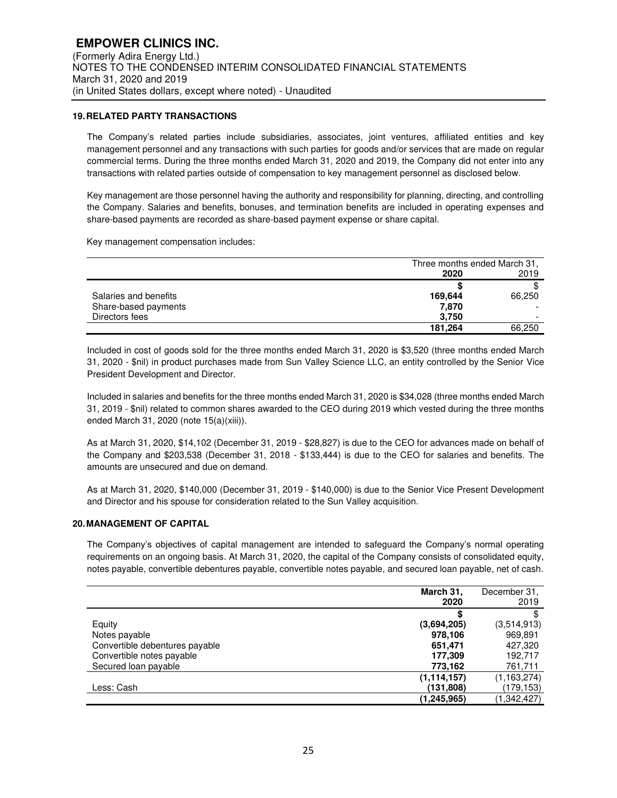## **19. RELATED PARTY TRANSACTIONS**

The Company's related parties include subsidiaries, associates, joint ventures, affiliated entities and key management personnel and any transactions with such parties for goods and/or services that are made on regular commercial terms. During the three months ended March 31, 2020 and 2019, the Company did not enter into any transactions with related parties outside of compensation to key management personnel as disclosed below.

Key management are those personnel having the authority and responsibility for planning, directing, and controlling the Company. Salaries and benefits, bonuses, and termination benefits are included in operating expenses and share-based payments are recorded as share-based payment expense or share capital.

Key management compensation includes:

|                       | Three months ended March 31, |        |
|-----------------------|------------------------------|--------|
|                       | 2020                         | 2019   |
|                       |                              |        |
| Salaries and benefits | 169,644                      | 66,250 |
| Share-based payments  | 7,870                        |        |
| Directors fees        | 3.750                        | -      |
|                       | 181.264                      | 66,250 |

Included in cost of goods sold for the three months ended March 31, 2020 is \$3,520 (three months ended March 31, 2020 - \$nil) in product purchases made from Sun Valley Science LLC, an entity controlled by the Senior Vice President Development and Director.

Included in salaries and benefits for the three months ended March 31, 2020 is \$34,028 (three months ended March 31, 2019 - \$nil) related to common shares awarded to the CEO during 2019 which vested during the three months ended March 31, 2020 (note 15(a)(xiii)).

As at March 31, 2020, \$14,102 (December 31, 2019 - \$28,827) is due to the CEO for advances made on behalf of the Company and \$203,538 (December 31, 2018 - \$133,444) is due to the CEO for salaries and benefits. The amounts are unsecured and due on demand.

As at March 31, 2020, \$140,000 (December 31, 2019 - \$140,000) is due to the Senior Vice Present Development and Director and his spouse for consideration related to the Sun Valley acquisition.

#### **20. MANAGEMENT OF CAPITAL**

The Company's objectives of capital management are intended to safeguard the Company's normal operating requirements on an ongoing basis. At March 31, 2020, the capital of the Company consists of consolidated equity, notes payable, convertible debentures payable, convertible notes payable, and secured loan payable, net of cash.

|                                | March 31,     | December 31.  |
|--------------------------------|---------------|---------------|
|                                | 2020          | 2019          |
|                                | S             |               |
| Equity                         | (3,694,205)   | (3,514,913)   |
| Notes payable                  | 978,106       | 969,891       |
| Convertible debentures payable | 651,471       | 427,320       |
| Convertible notes payable      | 177.309       | 192.717       |
| Secured loan payable           | 773,162       | 761,711       |
|                                | (1, 114, 157) | (1, 163, 274) |
| Less: Cash                     | (131,808)     | (179,153)     |
|                                | (1.245.965)   | (1,342,427)   |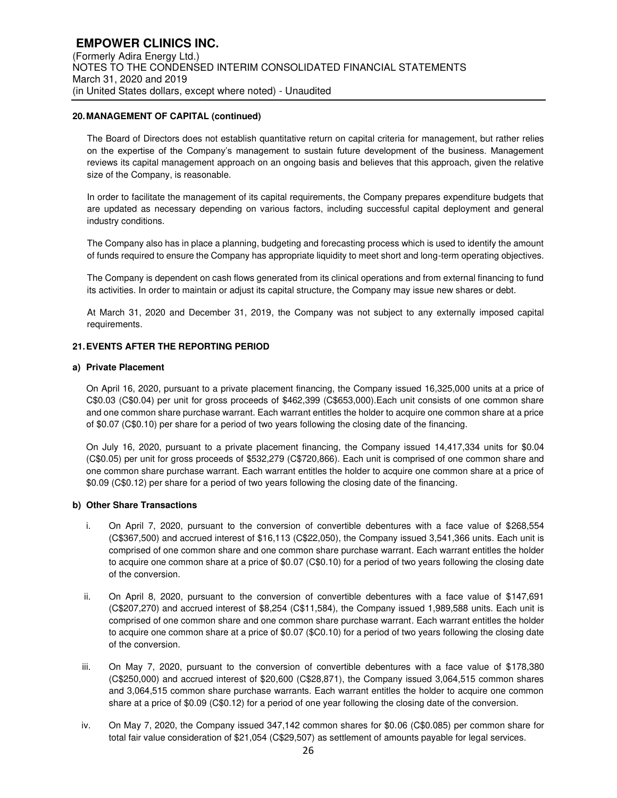#### **20. MANAGEMENT OF CAPITAL (continued)**

The Board of Directors does not establish quantitative return on capital criteria for management, but rather relies on the expertise of the Company's management to sustain future development of the business. Management reviews its capital management approach on an ongoing basis and believes that this approach, given the relative size of the Company, is reasonable.

In order to facilitate the management of its capital requirements, the Company prepares expenditure budgets that are updated as necessary depending on various factors, including successful capital deployment and general industry conditions.

The Company also has in place a planning, budgeting and forecasting process which is used to identify the amount of funds required to ensure the Company has appropriate liquidity to meet short and long-term operating objectives.

The Company is dependent on cash flows generated from its clinical operations and from external financing to fund its activities. In order to maintain or adjust its capital structure, the Company may issue new shares or debt.

At March 31, 2020 and December 31, 2019, the Company was not subject to any externally imposed capital requirements.

## **21. EVENTS AFTER THE REPORTING PERIOD**

#### **a) Private Placement**

On April 16, 2020, pursuant to a private placement financing, the Company issued 16,325,000 units at a price of C\$0.03 (C\$0.04) per unit for gross proceeds of \$462,399 (C\$653,000).Each unit consists of one common share and one common share purchase warrant. Each warrant entitles the holder to acquire one common share at a price of \$0.07 (C\$0.10) per share for a period of two years following the closing date of the financing.

On July 16, 2020, pursuant to a private placement financing, the Company issued 14,417,334 units for \$0.04 (C\$0.05) per unit for gross proceeds of \$532,279 (C\$720,866). Each unit is comprised of one common share and one common share purchase warrant. Each warrant entitles the holder to acquire one common share at a price of \$0.09 (C\$0.12) per share for a period of two years following the closing date of the financing.

#### **b) Other Share Transactions**

- i. On April 7, 2020, pursuant to the conversion of convertible debentures with a face value of \$268,554 (C\$367,500) and accrued interest of \$16,113 (C\$22,050), the Company issued 3,541,366 units. Each unit is comprised of one common share and one common share purchase warrant. Each warrant entitles the holder to acquire one common share at a price of \$0.07 (C\$0.10) for a period of two years following the closing date of the conversion.
- ii. On April 8, 2020, pursuant to the conversion of convertible debentures with a face value of \$147,691 (C\$207,270) and accrued interest of \$8,254 (C\$11,584), the Company issued 1,989,588 units. Each unit is comprised of one common share and one common share purchase warrant. Each warrant entitles the holder to acquire one common share at a price of \$0.07 (\$C0.10) for a period of two years following the closing date of the conversion.
- iii. On May 7, 2020, pursuant to the conversion of convertible debentures with a face value of \$178,380 (C\$250,000) and accrued interest of \$20,600 (C\$28,871), the Company issued 3,064,515 common shares and 3,064,515 common share purchase warrants. Each warrant entitles the holder to acquire one common share at a price of \$0.09 (C\$0.12) for a period of one year following the closing date of the conversion.
- iv. On May 7, 2020, the Company issued 347,142 common shares for \$0.06 (C\$0.085) per common share for total fair value consideration of \$21,054 (C\$29,507) as settlement of amounts payable for legal services.